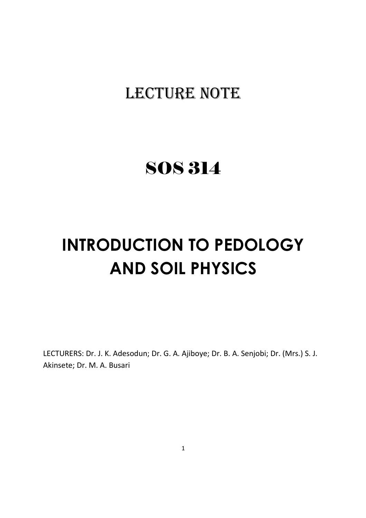# LECTURE NOTE

# SOS 314

# **INTRODUCTION TO PEDOLOGY AND SOIL PHYSICS**

LECTURERS: Dr. J. K. Adesodun; Dr. G. A. Ajiboye; Dr. B. A. Senjobi; Dr. (Mrs.) S. J. Akinsete; Dr. M. A. Busari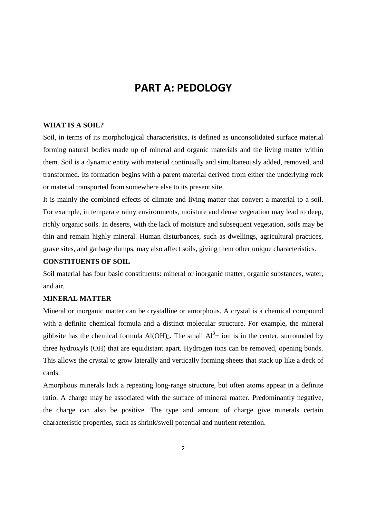# **PART A: PEDOLOGY**

# **WHAT IS A SOIL?**

Soil, in terms of its morphological characteristics, is defined as unconsolidated surface material forming natural bodies made up of mineral and organic materials and the living matter within them. Soil is a dynamic entity with material continually and simultaneously added, removed, and transformed. Its formation begins with a parent material derived from either the underlying rock or material transported from somewhere else to its present site.

It is mainly the combined effects of climate and living matter that convert a material to a soil. For example, in temperate rainy environments, moisture and dense vegetation may lead to deep, richly organic soils. In deserts, with the lack of moisture and subsequent vegetation, soils may be thin and remain highly mineral. Human disturbances, such as dwellings, agricultural practices, grave sites, and garbage dumps, may also affect soils, giving them other unique characteristics.

# **CONSTITUENTS OF SOIL**

Soil material has four basic constituents: mineral or inorganic matter, organic substances, water, and air.

#### **MINERAL MATTER**

Mineral or inorganic matter can be crystalline or amorphous. A crystal is a chemical compound with a definite chemical formula and a distinct molecular structure. For example, the mineral gibbsite has the chemical formula  $Al(OH)_3$ . The small  $Al^3+$  ion is in the center, surrounded by three hydroxyls (OH) that are equidistant apart. Hydrogen ions can be removed, opening bonds. This allows the crystal to grow laterally and vertically forming sheets that stack up like a deck of cards.

Amorphous minerals lack a repeating long-range structure, but often atoms appear in a definite ratio. A charge may be associated with the surface of mineral matter. Predominantly negative, the charge can also be positive. The type and amount of charge give minerals certain characteristic properties, such as shrink/swell potential and nutrient retention.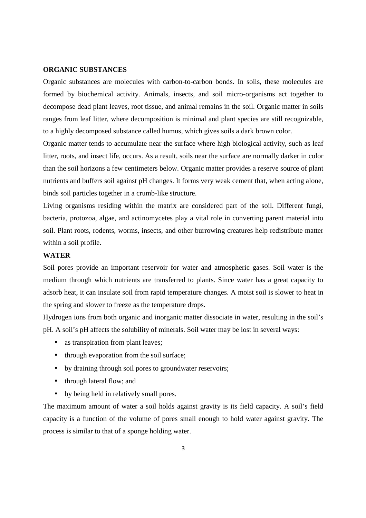#### **ORGANIC SUBSTANCES**

Organic substances are molecules with carbon-to-carbon bonds. In soils, these molecules are formed by biochemical activity. Animals, insects, and soil micro-organisms act together to decompose dead plant leaves, root tissue, and animal remains in the soil. Organic matter in soils ranges from leaf litter, where decomposition is minimal and plant species are still recognizable, to a highly decomposed substance called humus, which gives soils a dark brown color.

Organic matter tends to accumulate near the surface where high biological activity, such as leaf litter, roots, and insect life, occurs. As a result, soils near the surface are normally darker in color than the soil horizons a few centimeters below. Organic matter provides a reserve source of plant nutrients and buffers soil against pH changes. It forms very weak cement that, when acting alone, binds soil particles together in a crumb-like structure.

Living organisms residing within the matrix are considered part of the soil. Different fungi, bacteria, protozoa, algae, and actinomycetes play a vital role in converting parent material into soil. Plant roots, rodents, worms, insects, and other burrowing creatures help redistribute matter within a soil profile.

#### **WATER**

Soil pores provide an important reservoir for water and atmospheric gases. Soil water is the medium through which nutrients are transferred to plants. Since water has a great capacity to adsorb heat, it can insulate soil from rapid temperature changes. A moist soil is slower to heat in the spring and slower to freeze as the temperature drops.

Hydrogen ions from both organic and inorganic matter dissociate in water, resulting in the soil's pH. A soil's pH affects the solubility of minerals. Soil water may be lost in several ways:

- as transpiration from plant leaves;
- through evaporation from the soil surface;
- by draining through soil pores to groundwater reservoirs;
- through lateral flow; and
- by being held in relatively small pores.

The maximum amount of water a soil holds against gravity is its field capacity. A soil's field capacity is a function of the volume of pores small enough to hold water against gravity. The process is similar to that of a sponge holding water.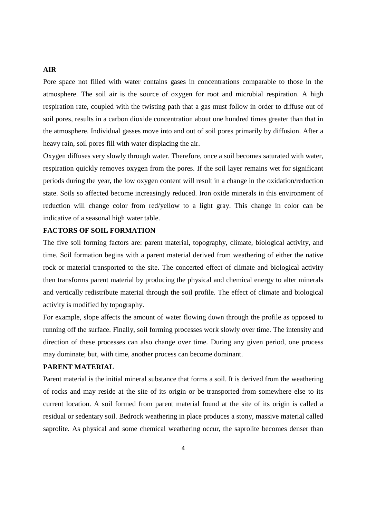#### **AIR**

Pore space not filled with water contains gases in concentrations comparable to those in the atmosphere. The soil air is the source of oxygen for root and microbial respiration. A high respiration rate, coupled with the twisting path that a gas must follow in order to diffuse out of soil pores, results in a carbon dioxide concentration about one hundred times greater than that in the atmosphere. Individual gasses move into and out of soil pores primarily by diffusion. After a heavy rain, soil pores fill with water displacing the air.

Oxygen diffuses very slowly through water. Therefore, once a soil becomes saturated with water, respiration quickly removes oxygen from the pores. If the soil layer remains wet for significant periods during the year, the low oxygen content will result in a change in the oxidation/reduction state. Soils so affected become increasingly reduced. Iron oxide minerals in this environment of reduction will change color from red/yellow to a light gray. This change in color can be indicative of a seasonal high water table.

# **FACTORS OF SOIL FORMATION**

The five soil forming factors are: parent material, topography, climate, biological activity, and time. Soil formation begins with a parent material derived from weathering of either the native rock or material transported to the site. The concerted effect of climate and biological activity then transforms parent material by producing the physical and chemical energy to alter minerals and vertically redistribute material through the soil profile. The effect of climate and biological activity is modified by topography.

For example, slope affects the amount of water flowing down through the profile as opposed to running off the surface. Finally, soil forming processes work slowly over time. The intensity and direction of these processes can also change over time. During any given period, one process may dominate; but, with time, another process can become dominant.

# **PARENT MATERIAL**

Parent material is the initial mineral substance that forms a soil. It is derived from the weathering of rocks and may reside at the site of its origin or be transported from somewhere else to its current location. A soil formed from parent material found at the site of its origin is called a residual or sedentary soil. Bedrock weathering in place produces a stony, massive material called saprolite. As physical and some chemical weathering occur, the saprolite becomes denser than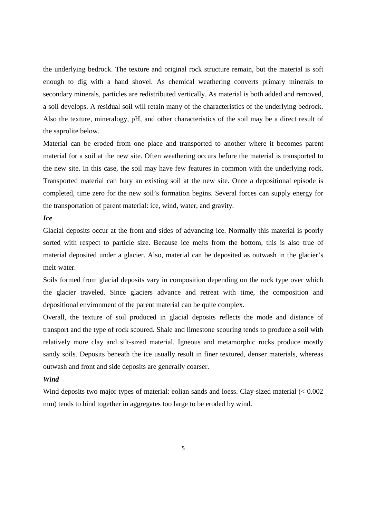the underlying bedrock. The texture and original rock structure remain, but the material is soft enough to dig with a hand shovel. As chemical weathering converts primary minerals to secondary minerals, particles are redistributed vertically. As material is both added and removed, a soil develops. A residual soil will retain many of the characteristics of the underlying bedrock. Also the texture, mineralogy, pH, and other characteristics of the soil may be a direct result of the saprolite below.

Material can be eroded from one place and transported to another where it becomes parent material for a soil at the new site. Often weathering occurs before the material is transported to the new site. In this case, the soil may have few features in common with the underlying rock. Transported material can bury an existing soil at the new site. Once a depositional episode is completed, time zero for the new soil's formation begins. Several forces can supply energy for the transportation of parent material: ice, wind, water, and gravity.

# *Ice*

Glacial deposits occur at the front and sides of advancing ice. Normally this material is poorly sorted with respect to particle size. Because ice melts from the bottom, this is also true of material deposited under a glacier. Also, material can be deposited as outwash in the glacier's melt-water.

Soils formed from glacial deposits vary in composition depending on the rock type over which the glacier traveled. Since glaciers advance and retreat with time, the composition and depositional environment of the parent material can be quite complex.

Overall, the texture of soil produced in glacial deposits reflects the mode and distance of transport and the type of rock scoured. Shale and limestone scouring tends to produce a soil with relatively more clay and silt-sized material. Igneous and metamorphic rocks produce mostly sandy soils. Deposits beneath the ice usually result in finer textured, denser materials, whereas outwash and front and side deposits are generally coarser.

# *Wind*

Wind deposits two major types of material: eolian sands and loess. Clay-sized material  $\leq 0.002$ mm) tends to bind together in aggregates too large to be eroded by wind.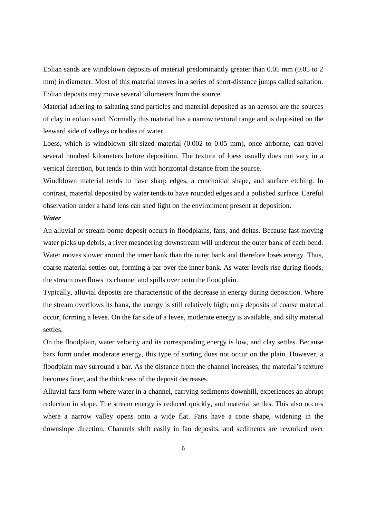Eolian sands are windblown deposits of material predominantly greater than 0.05 mm (0.05 to 2 mm) in diameter. Most of this material moves in a series of short-distance jumps called saltation. Eolian deposits may move several kilometers from the source.

Material adhering to saltating sand particles and material deposited as an aerosol are the sources of clay in eolian sand. Normally this material has a narrow textural range and is deposited on the leeward side of valleys or bodies of water.

Loess, which is windblown silt-sized material (0.002 to 0.05 mm), once airborne, can travel several hundred kilometers before deposition. The texture of loess usually does not vary in a vertical direction, but tends to thin with horizontal distance from the source.

Windblown material tends to have sharp edges, a conchoidal shape, and surface etching. In contrast, material deposited by water tends to have rounded edges and a polished surface. Careful observation under a hand lens can shed light on the environment present at deposition.

# *Water*

An alluvial or stream-borne deposit occurs in floodplains, fans, and deltas. Because fast-moving water picks up debris, a river meandering downstream will undercut the outer bank of each bend. Water moves slower around the inner bank than the outer bank and therefore loses energy. Thus, coarse material settles out, forming a bar over the inner bank. As water levels rise during floods, the stream overflows its channel and spills over onto the floodplain.

Typically, alluvial deposits are characteristic of the decrease in energy during deposition. Where the stream overflows its bank, the energy is still relatively high; only deposits of coarse material occur, forming a levee. On the far side of a levee, moderate energy is available, and silty material settles.

On the floodplain, water velocity and its corresponding energy is low, and clay settles. Because bars form under moderate energy, this type of sorting does not occur on the plain. However, a floodplain may surround a bar. As the distance from the channel increases, the material's texture becomes finer, and the thickness of the deposit decreases.

Alluvial fans form where water in a channel, carrying sediments downhill, experiences an abrupt reduction in slope. The stream energy is reduced quickly, and material settles. This also occurs where a narrow valley opens onto a wide flat. Fans have a cone shape, widening in the downslope direction. Channels shift easily in fan deposits, and sediments are reworked over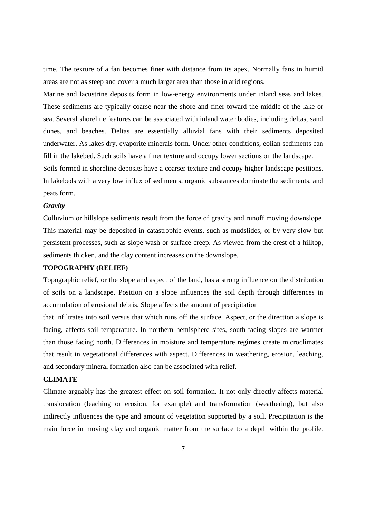time. The texture of a fan becomes finer with distance from its apex. Normally fans in humid areas are not as steep and cover a much larger area than those in arid regions.

Marine and lacustrine deposits form in low-energy environments under inland seas and lakes. These sediments are typically coarse near the shore and finer toward the middle of the lake or sea. Several shoreline features can be associated with inland water bodies, including deltas, sand dunes, and beaches. Deltas are essentially alluvial fans with their sediments deposited underwater. As lakes dry, evaporite minerals form. Under other conditions, eolian sediments can fill in the lakebed. Such soils have a finer texture and occupy lower sections on the landscape.

Soils formed in shoreline deposits have a coarser texture and occupy higher landscape positions. In lakebeds with a very low influx of sediments, organic substances dominate the sediments, and peats form.

#### *Gravity*

Colluvium or hillslope sediments result from the force of gravity and runoff moving downslope. This material may be deposited in catastrophic events, such as mudslides, or by very slow but persistent processes, such as slope wash or surface creep. As viewed from the crest of a hilltop, sediments thicken, and the clay content increases on the downslope.

# **TOPOGRAPHY (RELIEF)**

Topographic relief, or the slope and aspect of the land, has a strong influence on the distribution of soils on a landscape. Position on a slope influences the soil depth through differences in accumulation of erosional debris. Slope affects the amount of precipitation

that infiltrates into soil versus that which runs off the surface. Aspect, or the direction a slope is facing, affects soil temperature. In northern hemisphere sites, south-facing slopes are warmer than those facing north. Differences in moisture and temperature regimes create microclimates that result in vegetational differences with aspect. Differences in weathering, erosion, leaching, and secondary mineral formation also can be associated with relief.

# **CLIMATE**

Climate arguably has the greatest effect on soil formation. It not only directly affects material translocation (leaching or erosion, for example) and transformation (weathering), but also indirectly influences the type and amount of vegetation supported by a soil. Precipitation is the main force in moving clay and organic matter from the surface to a depth within the profile.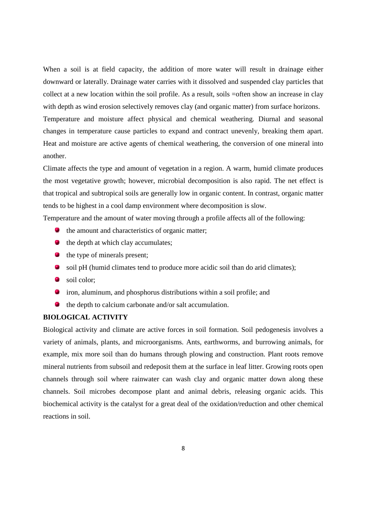When a soil is at field capacity, the addition of more water will result in drainage either downward or laterally. Drainage water carries with it dissolved and suspended clay particles that collect at a new location within the soil profile. As a result, soils =often show an increase in clay with depth as wind erosion selectively removes clay (and organic matter) from surface horizons. Temperature and moisture affect physical and chemical weathering. Diurnal and seasonal changes in temperature cause particles to expand and contract unevenly, breaking them apart. Heat and moisture are active agents of chemical weathering, the conversion of one mineral into another.

Climate affects the type and amount of vegetation in a region. A warm, humid climate produces the most vegetative growth; however, microbial decomposition is also rapid. The net effect is that tropical and subtropical soils are generally low in organic content. In contrast, organic matter tends to be highest in a cool damp environment where decomposition is slow.

Temperature and the amount of water moving through a profile affects all of the following:

- **the amount and characteristics of organic matter;**
- $\bullet$  the depth at which clay accumulates;
- **the type of minerals present;**
- soil pH (humid climates tend to produce more acidic soil than do arid climates);
- soil color:
- iron, aluminum, and phosphorus distributions within a soil profile; and
- **the depth to calcium carbonate and/or salt accumulation.**

# **BIOLOGICAL ACTIVITY**

Biological activity and climate are active forces in soil formation. Soil pedogenesis involves a variety of animals, plants, and microorganisms. Ants, earthworms, and burrowing animals, for example, mix more soil than do humans through plowing and construction. Plant roots remove mineral nutrients from subsoil and redeposit them at the surface in leaf litter. Growing roots open channels through soil where rainwater can wash clay and organic matter down along these channels. Soil microbes decompose plant and animal debris, releasing organic acids. This biochemical activity is the catalyst for a great deal of the oxidation/reduction and other chemical reactions in soil.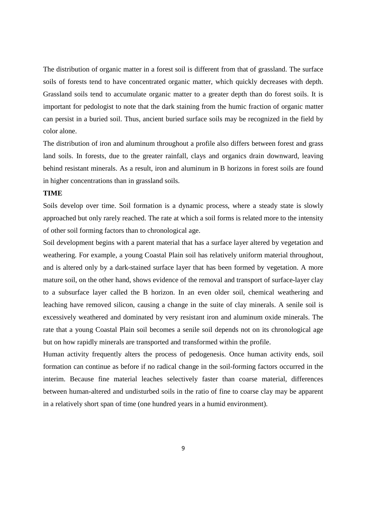The distribution of organic matter in a forest soil is different from that of grassland. The surface soils of forests tend to have concentrated organic matter, which quickly decreases with depth. Grassland soils tend to accumulate organic matter to a greater depth than do forest soils. It is important for pedologist to note that the dark staining from the humic fraction of organic matter can persist in a buried soil. Thus, ancient buried surface soils may be recognized in the field by color alone.

The distribution of iron and aluminum throughout a profile also differs between forest and grass land soils. In forests, due to the greater rainfall, clays and organics drain downward, leaving behind resistant minerals. As a result, iron and aluminum in B horizons in forest soils are found in higher concentrations than in grassland soils.

#### **TIME**

Soils develop over time. Soil formation is a dynamic process, where a steady state is slowly approached but only rarely reached. The rate at which a soil forms is related more to the intensity of other soil forming factors than to chronological age.

Soil development begins with a parent material that has a surface layer altered by vegetation and weathering. For example, a young Coastal Plain soil has relatively uniform material throughout, and is altered only by a dark-stained surface layer that has been formed by vegetation. A more mature soil, on the other hand, shows evidence of the removal and transport of surface-layer clay to a subsurface layer called the B horizon. In an even older soil, chemical weathering and leaching have removed silicon, causing a change in the suite of clay minerals. A senile soil is excessively weathered and dominated by very resistant iron and aluminum oxide minerals. The rate that a young Coastal Plain soil becomes a senile soil depends not on its chronological age but on how rapidly minerals are transported and transformed within the profile.

Human activity frequently alters the process of pedogenesis. Once human activity ends, soil formation can continue as before if no radical change in the soil-forming factors occurred in the interim. Because fine material leaches selectively faster than coarse material, differences between human-altered and undisturbed soils in the ratio of fine to coarse clay may be apparent in a relatively short span of time (one hundred years in a humid environment).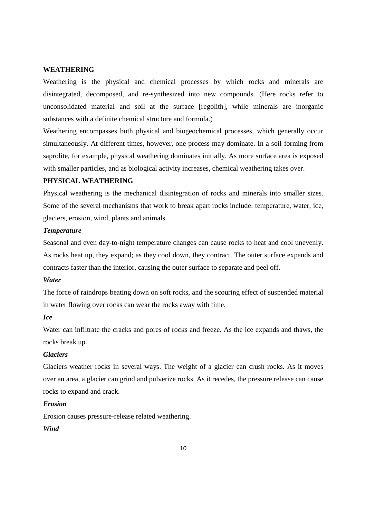# **WEATHERING**

Weathering is the physical and chemical processes by which rocks and minerals are disintegrated, decomposed, and re-synthesized into new compounds. (Here rocks refer to unconsolidated material and soil at the surface [regolith], while minerals are inorganic substances with a definite chemical structure and formula.)

Weathering encompasses both physical and biogeochemical processes, which generally occur simultaneously. At different times, however, one process may dominate. In a soil forming from saprolite, for example, physical weathering dominates initially. As more surface area is exposed with smaller particles, and as biological activity increases, chemical weathering takes over.

# **PHYSICAL WEATHERING**

Physical weathering is the mechanical disintegration of rocks and minerals into smaller sizes. Some of the several mechanisms that work to break apart rocks include: temperature, water, ice, glaciers, erosion, wind, plants and animals.

#### *Temperature*

Seasonal and even day-to-night temperature changes can cause rocks to heat and cool unevenly. As rocks heat up, they expand; as they cool down, they contract. The outer surface expands and contracts faster than the interior, causing the outer surface to separate and peel off.

#### *Water*

The force of raindrops beating down on soft rocks, and the scouring effect of suspended material in water flowing over rocks can wear the rocks away with time.

## *Ice*

Water can infiltrate the cracks and pores of rocks and freeze. As the ice expands and thaws, the rocks break up.

#### *Glaciers*

Glaciers weather rocks in several ways. The weight of a glacier can crush rocks. As it moves over an area, a glacier can grind and pulverize rocks. As it recedes, the pressure release can cause rocks to expand and crack.

## *Erosion*

Erosion causes pressure-release related weathering.

# *Wind*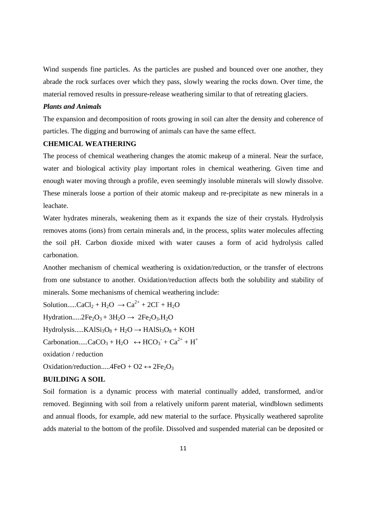Wind suspends fine particles. As the particles are pushed and bounced over one another, they abrade the rock surfaces over which they pass, slowly wearing the rocks down. Over time, the material removed results in pressure-release weathering similar to that of retreating glaciers.

#### *Plants and Animals*

The expansion and decomposition of roots growing in soil can alter the density and coherence of particles. The digging and burrowing of animals can have the same effect.

# **CHEMICAL WEATHERING**

The process of chemical weathering changes the atomic makeup of a mineral. Near the surface, water and biological activity play important roles in chemical weathering. Given time and enough water moving through a profile, even seemingly insoluble minerals will slowly dissolve. These minerals loose a portion of their atomic makeup and re-precipitate as new minerals in a leachate.

Water hydrates minerals, weakening them as it expands the size of their crystals. Hydrolysis removes atoms (ions) from certain minerals and, in the process, splits water molecules affecting the soil pH. Carbon dioxide mixed with water causes a form of acid hydrolysis called carbonation.

Another mechanism of chemical weathering is oxidation/reduction, or the transfer of electrons from one substance to another. Oxidation/reduction affects both the solubility and stability of minerals. Some mechanisms of chemical weathering include:

Solution.....CaCl<sub>2</sub> + H<sub>2</sub>O  $\rightarrow$  Ca<sup>2+</sup> + 2Cl<sup>-</sup> + H<sub>2</sub>O Hydration.....2Fe<sub>2</sub>O<sub>3</sub> + 3H<sub>2</sub>O  $\rightarrow$  2Fe<sub>2</sub>O<sub>3</sub>.H<sub>2</sub>O  $Hydrolysis.....KAlSi<sub>3</sub>O<sub>8</sub> + H<sub>2</sub>O \rightarrow HAlSi<sub>3</sub>O<sub>8</sub> + KOH$ Carbonation.....CaCO<sub>3</sub> + H<sub>2</sub>O  $\leftrightarrow$  HCO<sub>3</sub><sup>-</sup> + Ca<sup>2+</sup> + H<sup>+</sup> oxidation / reduction Oxidation/reduction.....4FeO + O2  $\leftrightarrow$  2Fe<sub>2</sub>O<sub>3</sub>

#### **BUILDING A SOIL**

Soil formation is a dynamic process with material continually added, transformed, and/or removed. Beginning with soil from a relatively uniform parent material, windblown sediments and annual floods, for example, add new material to the surface. Physically weathered saprolite adds material to the bottom of the profile. Dissolved and suspended material can be deposited or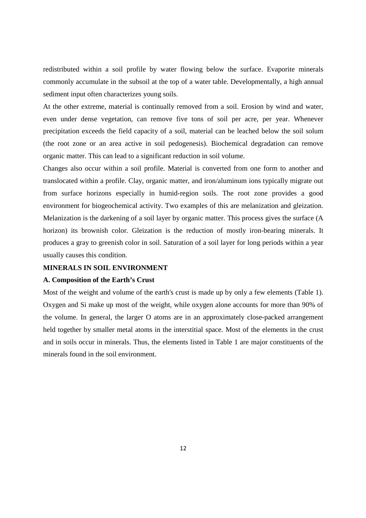redistributed within a soil profile by water flowing below the surface. Evaporite minerals commonly accumulate in the subsoil at the top of a water table. Developmentally, a high annual sediment input often characterizes young soils.

At the other extreme, material is continually removed from a soil. Erosion by wind and water, even under dense vegetation, can remove five tons of soil per acre, per year. Whenever precipitation exceeds the field capacity of a soil, material can be leached below the soil solum (the root zone or an area active in soil pedogenesis). Biochemical degradation can remove organic matter. This can lead to a significant reduction in soil volume.

Changes also occur within a soil profile. Material is converted from one form to another and translocated within a profile. Clay, organic matter, and iron/aluminum ions typically migrate out from surface horizons especially in humid-region soils. The root zone provides a good environment for biogeochemical activity. Two examples of this are melanization and gleization. Melanization is the darkening of a soil layer by organic matter. This process gives the surface (A horizon) its brownish color. Gleization is the reduction of mostly iron-bearing minerals. It produces a gray to greenish color in soil. Saturation of a soil layer for long periods within a year usually causes this condition.

#### **MINERALS IN SOIL ENVIRONMENT**

#### **A. Composition of the Earth's Crust**

Most of the weight and volume of the earth's crust is made up by only a few elements (Table 1). Oxygen and Si make up most of the weight, while oxygen alone accounts for more than 90% of the volume. In general, the larger O atoms are in an approximately close-packed arrangement held together by smaller metal atoms in the interstitial space. Most of the elements in the crust and in soils occur in minerals. Thus, the elements listed in Table 1 are major constituents of the minerals found in the soil environment.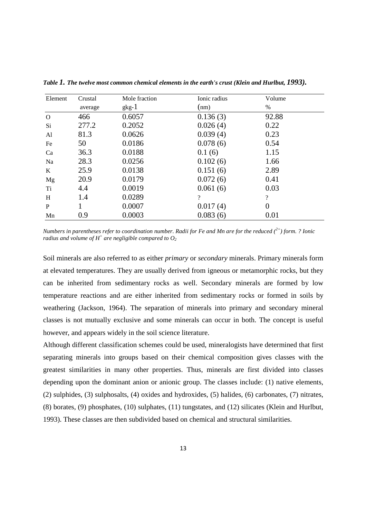| Element  | Crustal | Mole fraction | Ionic radius | Volume         |  |
|----------|---------|---------------|--------------|----------------|--|
|          | average | $gkg-1$       | (nm)         | $\%$           |  |
| $\Omega$ | 466     | 0.6057        | 0.136(3)     | 92.88          |  |
| Si       | 277.2   | 0.2052        | 0.026(4)     | 0.22           |  |
| AI       | 81.3    | 0.0626        | 0.039(4)     | 0.23           |  |
| Fe       | 50      | 0.0186        | 0.078(6)     | 0.54           |  |
| Ca       | 36.3    | 0.0188        | 0.1(6)       | 1.15           |  |
| Na       | 28.3    | 0.0256        | 0.102(6)     | 1.66           |  |
| K        | 25.9    | 0.0138        | 0.151(6)     | 2.89           |  |
| Mg       | 20.9    | 0.0179        | 0.072(6)     | 0.41           |  |
| Ti       | 4.4     | 0.0019        | 0.061(6)     | 0.03           |  |
| H        | 1.4     | 0.0289        | $\gamma$     | $\overline{?}$ |  |
| P        |         | 0.0007        | 0.017(4)     | $\overline{0}$ |  |
| Mn       | 0.9     | 0.0003        | 0.083(6)     | 0.01           |  |

*Table 1. The twelve most common chemical elements in the earth's crust (Klein and Hurlbut, 1993).*

*Numbers in parentheses refer to coordination number. Radii for Fe and Mn are for the reduced (2+) form. ? Ionic radius and volume of*  $H^+$  *are negligible compared to*  $O_2$ 

Soil minerals are also referred to as either *primary* or *secondary* minerals. Primary minerals form at elevated temperatures. They are usually derived from igneous or metamorphic rocks, but they can be inherited from sedimentary rocks as well. Secondary minerals are formed by low temperature reactions and are either inherited from sedimentary rocks or formed in soils by weathering (Jackson, 1964). The separation of minerals into primary and secondary mineral classes is not mutually exclusive and some minerals can occur in both. The concept is useful however, and appears widely in the soil science literature.

Although different classification schemes could be used, mineralogists have determined that first separating minerals into groups based on their chemical composition gives classes with the greatest similarities in many other properties. Thus, minerals are first divided into classes depending upon the dominant anion or anionic group. The classes include: (1) native elements, (2) sulphides, (3) sulphosalts, (4) oxides and hydroxides, (5) halides, (6) carbonates, (7) nitrates, (8) borates, (9) phosphates, (10) sulphates, (11) tungstates, and (12) silicates (Klein and Hurlbut, 1993). These classes are then subdivided based on chemical and structural similarities.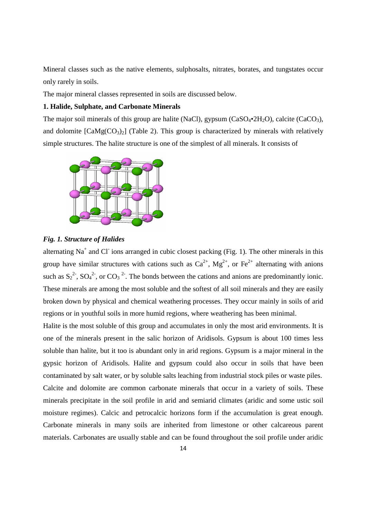Mineral classes such as the native elements, sulphosalts, nitrates, borates, and tungstates occur only rarely in soils.

The major mineral classes represented in soils are discussed below.

## **1. Halide, Sulphate, and Carbonate Minerals**

The major soil minerals of this group are halite (NaCl), gypsum  $(CaSO_4 \cdot 2H_2O)$ , calcite  $(CaCO_3)$ , and dolomite  $[CaMg(CO<sub>3</sub>)<sub>2</sub>]$  (Table 2). This group is characterized by minerals with relatively simple structures. The halite structure is one of the simplest of all minerals. It consists of



# *Fig. 1. Structure of Halides*

alternating Na<sup>+</sup> and Cl<sup>-</sup> ions arranged in cubic closest packing (Fig. 1). The other minerals in this group have similar structures with cations such as  $Ca^{2+}$ ,  $Mg^{2+}$ , or  $Fe^{2+}$  alternating with anions such as  $S_2^2$ ,  $SO_4^2$ , or  $CO_3^2$ . The bonds between the cations and anions are predominantly ionic. These minerals are among the most soluble and the softest of all soil minerals and they are easily broken down by physical and chemical weathering processes. They occur mainly in soils of arid regions or in youthful soils in more humid regions, where weathering has been minimal.

Halite is the most soluble of this group and accumulates in only the most arid environments. It is one of the minerals present in the salic horizon of Aridisols. Gypsum is about 100 times less soluble than halite, but it too is abundant only in arid regions. Gypsum is a major mineral in the gypsic horizon of Aridisols. Halite and gypsum could also occur in soils that have been contaminated by salt water, or by soluble salts leaching from industrial stock piles or waste piles. Calcite and dolomite are common carbonate minerals that occur in a variety of soils. These minerals precipitate in the soil profile in arid and semiarid climates (aridic and some ustic soil moisture regimes). Calcic and petrocalcic horizons form if the accumulation is great enough. Carbonate minerals in many soils are inherited from limestone or other calcareous parent materials. Carbonates are usually stable and can be found throughout the soil profile under aridic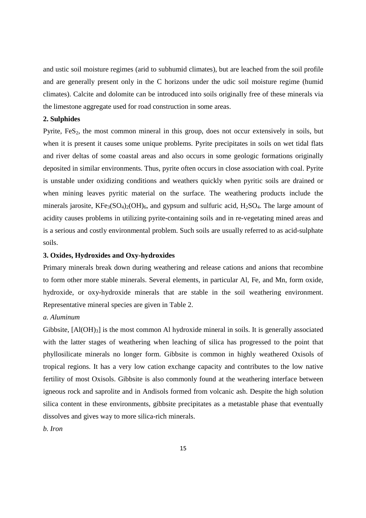and ustic soil moisture regimes (arid to subhumid climates), but are leached from the soil profile and are generally present only in the C horizons under the udic soil moisture regime (humid climates). Calcite and dolomite can be introduced into soils originally free of these minerals via the limestone aggregate used for road construction in some areas.

# **2. Sulphides**

Pyrite,  $F \in S<sub>2</sub>$ , the most common mineral in this group, does not occur extensively in soils, but when it is present it causes some unique problems. Pyrite precipitates in soils on wet tidal flats and river deltas of some coastal areas and also occurs in some geologic formations originally deposited in similar environments. Thus, pyrite often occurs in close association with coal. Pyrite is unstable under oxidizing conditions and weathers quickly when pyritic soils are drained or when mining leaves pyritic material on the surface. The weathering products include the minerals jarosite,  $KFe_3(SO_4)_2(OH)_6$ , and gypsum and sulfuric acid,  $H_2SO_4$ . The large amount of acidity causes problems in utilizing pyrite-containing soils and in re-vegetating mined areas and is a serious and costly environmental problem. Such soils are usually referred to as acid-sulphate soils.

#### **3. Oxides, Hydroxides and Oxy-hydroxides**

Primary minerals break down during weathering and release cations and anions that recombine to form other more stable minerals. Several elements, in particular Al, Fe, and Mn, form oxide, hydroxide, or oxy-hydroxide minerals that are stable in the soil weathering environment. Representative mineral species are given in Table 2.

#### *a. Aluminum*

Gibbsite,  $[A(OH)<sub>3</sub>]$  is the most common Al hydroxide mineral in soils. It is generally associated with the latter stages of weathering when leaching of silica has progressed to the point that phyllosilicate minerals no longer form. Gibbsite is common in highly weathered Oxisols of tropical regions. It has a very low cation exchange capacity and contributes to the low native fertility of most Oxisols. Gibbsite is also commonly found at the weathering interface between igneous rock and saprolite and in Andisols formed from volcanic ash. Despite the high solution silica content in these environments, gibbsite precipitates as a metastable phase that eventually dissolves and gives way to more silica-rich minerals.

*b. Iron*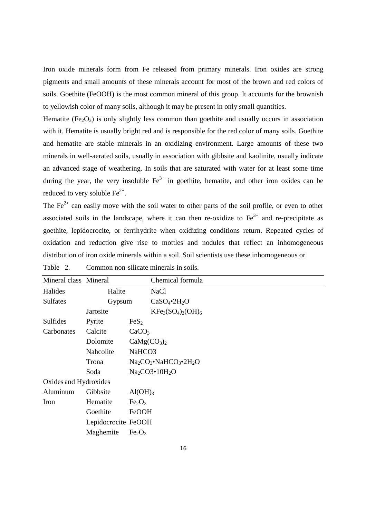Iron oxide minerals form from Fe released from primary minerals. Iron oxides are strong pigments and small amounts of these minerals account for most of the brown and red colors of soils. Goethite (FeOOH) is the most common mineral of this group. It accounts for the brownish to yellowish color of many soils, although it may be present in only small quantities.

Hematite  $(Fe_2O_3)$  is only slightly less common than goethite and usually occurs in association with it. Hematite is usually bright red and is responsible for the red color of many soils. Goethite and hematite are stable minerals in an oxidizing environment. Large amounts of these two minerals in well-aerated soils, usually in association with gibbsite and kaolinite, usually indicate an advanced stage of weathering. In soils that are saturated with water for at least some time during the year, the very insoluble  $Fe^{3+}$  in goethite, hematite, and other iron oxides can be reduced to very soluble  $Fe^{2+}$ .

The  $Fe<sup>2+</sup>$  can easily move with the soil water to other parts of the soil profile, or even to other associated soils in the landscape, where it can then re-oxidize to  $Fe<sup>3+</sup>$  and re-precipitate as goethite, lepidocrocite, or ferrihydrite when oxidizing conditions return. Repeated cycles of oxidation and reduction give rise to mottles and nodules that reflect an inhomogeneous distribution of iron oxide minerals within a soil. Soil scientists use these inhomogeneous or

| Mineral class Mineral |                     | Chemical formula                       |
|-----------------------|---------------------|----------------------------------------|
| Halides               | Halite              | <b>NaCl</b>                            |
| <b>Sulfates</b>       | Gypsum              | $CaSO_4$ •2H <sub>2</sub> O            |
|                       | Jarosite            | $KFe3(SO4)2(OH)6$                      |
| <b>Sulfides</b>       | Pyrite              | FeS <sub>2</sub>                       |
| Carbonates            | Calcite             | CaCO <sub>3</sub>                      |
|                       | Dolomite            | CaMg(CO <sub>3</sub> ) <sub>2</sub>    |
|                       | Nahcolite           | NaHCO <sub>3</sub>                     |
|                       | Trona               | $Na2CO3•NaHCO3•2H2O$                   |
|                       | Soda                | Na <sub>2</sub> CO3•10H <sub>2</sub> O |
| Oxides and Hydroxides |                     |                                        |
| Aluminum              | Gibbsite            | Al(OH) <sub>3</sub>                    |
| Iron                  | Hematite            | Fe <sub>2</sub> O <sub>3</sub>         |
|                       | Goethite            | FeOOH                                  |
|                       | Lepidocrocite FeOOH |                                        |
|                       | Maghemite           | Fe <sub>2</sub> O <sub>3</sub>         |

Table 2. Common non-silicate minerals in soils.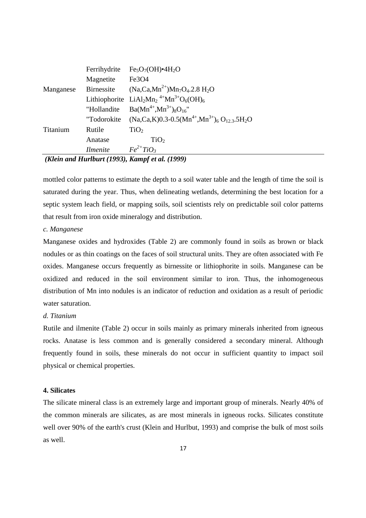|           | Ferrihydrite      | $Fe5O7(OH)•4H2O$                                                                                                |
|-----------|-------------------|-----------------------------------------------------------------------------------------------------------------|
|           | Magnetite         | Fe3O <sub>4</sub>                                                                                               |
| Manganese | <b>Birnessite</b> | $(Na, Ca, Mn^{2+})Mn_7O_4.2.8 H_2O$                                                                             |
|           |                   | Lithiophorite LiAl <sub>2</sub> Mn <sub>2</sub> <sup>4+</sup> Mn <sup>3+</sup> O <sub>6</sub> (OH) <sub>6</sub> |
|           | "Hollandite       | $Ba(Mn^{4+}, Mn^{3+})_8O_{16}$ "                                                                                |
|           | "Todorokite       | $(Na, Ca, K)$ 0.3-0.5 $(Mn^{4+}, Mn^{3+})$ <sub>6</sub> O <sub>12</sub> 3.5H <sub>2</sub> O                     |
| Titanium  | Rutile            | TiO <sub>2</sub>                                                                                                |
|           | Anatase           | TiO <sub>2</sub>                                                                                                |
|           | <b>Ilmenite</b>   | $Fe^{2+}TiO_3$                                                                                                  |
|           |                   | $(U_{\alpha})$ and $U_{\alpha}$ is $U_{\alpha}$ (1002) $V_{\alpha}$ and $\alpha$ (1000)                         |

#### *(Klein and Hurlburt (1993), Kampf et al. (1999)*

mottled color patterns to estimate the depth to a soil water table and the length of time the soil is saturated during the year. Thus, when delineating wetlands, determining the best location for a septic system leach field, or mapping soils, soil scientists rely on predictable soil color patterns that result from iron oxide mineralogy and distribution.

#### *c. Manganese*

Manganese oxides and hydroxides (Table 2) are commonly found in soils as brown or black nodules or as thin coatings on the faces of soil structural units. They are often associated with Fe oxides. Manganese occurs frequently as birnessite or lithiophorite in soils. Manganese can be oxidized and reduced in the soil environment similar to iron. Thus, the inhomogeneous distribution of Mn into nodules is an indicator of reduction and oxidation as a result of periodic water saturation.

#### *d. Titanium*

Rutile and ilmenite (Table 2) occur in soils mainly as primary minerals inherited from igneous rocks. Anatase is less common and is generally considered a secondary mineral. Although frequently found in soils, these minerals do not occur in sufficient quantity to impact soil physical or chemical properties.

# **4. Silicates**

The silicate mineral class is an extremely large and important group of minerals. Nearly 40% of the common minerals are silicates, as are most minerals in igneous rocks. Silicates constitute well over 90% of the earth's crust (Klein and Hurlbut, 1993) and comprise the bulk of most soils as well.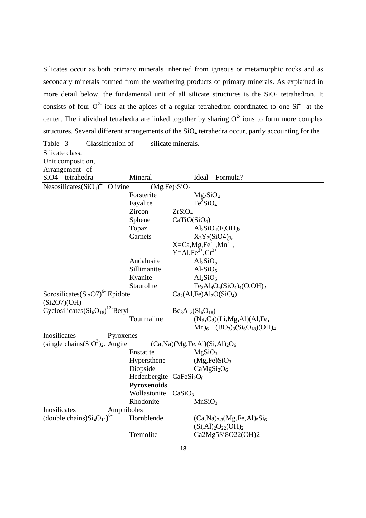Silicates occur as both primary minerals inherited from igneous or metamorphic rocks and as secondary minerals formed from the weathering products of primary minerals. As explained in more detail below, the fundamental unit of all silicate structures is the  $SiO<sub>4</sub>$  tetrahedron. It consists of four  $O^2$  ions at the apices of a regular tetrahedron coordinated to one  $Si^{4+}$  at the center. The individual tetrahedra are linked together by sharing  $O<sup>2</sup>$  ions to form more complex structures. Several different arrangements of the SiO<sub>4</sub> tetrahedra occur, partly accounting for the

| Classification of<br>Table 3                    |                          | silicate minerals.                |                                     |  |
|-------------------------------------------------|--------------------------|-----------------------------------|-------------------------------------|--|
| Silicate class,                                 |                          |                                   |                                     |  |
| Unit composition,                               |                          |                                   |                                     |  |
| Arrangement of                                  |                          |                                   |                                     |  |
| SiO <sub>4</sub> tetrahedra                     | Mineral                  | Ideal                             | Formula?                            |  |
| Nesosilicates( $SiO4$ <sup>4-</sup><br>Olivine  |                          | $(Mg,Fe)_2SiO_4$                  |                                     |  |
|                                                 | Forsterite               | $Mg_2SiO_4$                       |                                     |  |
|                                                 | Fayalite                 | $Fe^2SiO_4$                       |                                     |  |
|                                                 | Zircon                   | ZrSiO <sub>4</sub>                |                                     |  |
|                                                 | Sphene                   | CaTiO(SiO <sub>4</sub> )          |                                     |  |
|                                                 | Topaz                    |                                   | $Al_2SiO_4(F,OH)_2$                 |  |
|                                                 | Garnets                  |                                   | $X_3Y_2(SiO4)_3,$                   |  |
|                                                 |                          | $X=Ca, Mg, Fe^{2+}, Mn^{2+},$     |                                     |  |
|                                                 |                          | $Y = A1, Fe^{3+}, Cr^{3+}$        |                                     |  |
|                                                 | Andalusite               | Al <sub>2</sub> SiO <sub>5</sub>  |                                     |  |
|                                                 | Sillimanite              | Al <sub>2</sub> SiO <sub>5</sub>  |                                     |  |
|                                                 | Kyanite                  | Al <sub>2</sub> SiO <sub>5</sub>  |                                     |  |
|                                                 | Staurolite               |                                   | $Fe2Al9O6(SiO4)4(O,OH)2$            |  |
| Sorosilicates $(Si2O7)6$ Epidote<br>(Si2O7)(OH) |                          | $Ca2(Al,Fe)Al2O(SiO4)$            |                                     |  |
| Cyclosilicates $(Si_6O_{18})^{12}$ Beryl        |                          | $Be_3Al_2(Si_6O_{18})$            |                                     |  |
|                                                 | Tourmaline               |                                   | (Na,Ca)(Li,Mg,Al)(Al,Fe,            |  |
|                                                 |                          |                                   | $Mn_6$ $(BO_3)_3(Si_6O_{18})(OH)_4$ |  |
| Inosilicates<br>Pyroxenes                       |                          |                                   |                                     |  |
| (single chains $(SiO3)2$ . Augite               |                          | $(Ca, Na)(Mg, Fe, Al)(Si, Al)2O6$ |                                     |  |
|                                                 | Enstatite                | MgSiO <sub>3</sub>                |                                     |  |
|                                                 | Hypersthene              |                                   | (Mg,Fe)SiO <sub>3</sub>             |  |
|                                                 | Diopside                 |                                   | CaMgSi <sub>2</sub> O <sub>6</sub>  |  |
|                                                 | Hedenbergite $CaFeSi2O6$ |                                   |                                     |  |
|                                                 | Pyroxenoids              |                                   |                                     |  |
|                                                 | Wollastonite             | CaSiO <sub>3</sub>                |                                     |  |
|                                                 | Rhodonite                | MnSiO <sub>3</sub>                |                                     |  |
| Inosilicates<br>Amphiboles                      |                          |                                   |                                     |  |
| (double chains) $Si4O11$ <sup>6-</sup>          | Hornblende               |                                   | $(Ca,Na)_{2-3}(Mg,Fe,Al)_{5}Si_{6}$ |  |
|                                                 |                          |                                   | $(Si, Al)2O22(OH)2$                 |  |
|                                                 | Tremolite                |                                   | Ca2Mg5Si8O22(OH)2                   |  |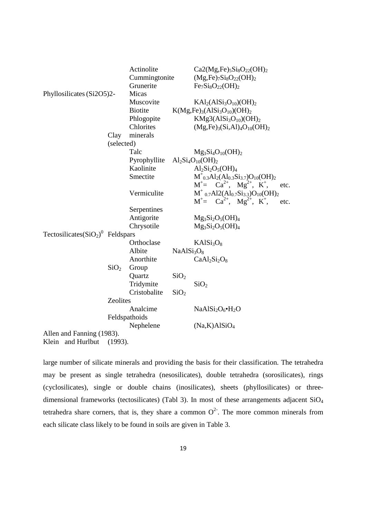|                                                |                  | Actinolite     |                                    | $Ca2(Mg,Fe)_{5}Si_8O_{22}(OH)_2$                                                                |  |
|------------------------------------------------|------------------|----------------|------------------------------------|-------------------------------------------------------------------------------------------------|--|
|                                                |                  | Cummingtonite  |                                    | $(Mg,Fe)_{7}Si_8O_{22}(OH)_2$                                                                   |  |
|                                                |                  | Grunerite      |                                    | $Fe7Si8O22(OH)2$                                                                                |  |
| Phyllosilicates (Si2O5)2-                      |                  | Micas          |                                    |                                                                                                 |  |
|                                                |                  | Muscovite      |                                    | $KAl2(AlSi3O10)(OH)2$                                                                           |  |
|                                                |                  | <b>Biotite</b> |                                    | $K(Mg,Fe)_3(AlSi3O10)(OH)2$                                                                     |  |
|                                                |                  | Phlogopite     |                                    | $KMg3(AlSi3O10)(OH)2$                                                                           |  |
|                                                |                  | Chlorites      |                                    | $(Mg, Fe)_3(Si, Al)_4O_{10}(OH)_2$                                                              |  |
|                                                | Clay             | minerals       |                                    |                                                                                                 |  |
|                                                | (selected)       |                |                                    |                                                                                                 |  |
|                                                |                  | Talc           |                                    | $Mg_3Si_4O_{10}(OH)_2$                                                                          |  |
|                                                |                  | Pyrophyllite   |                                    | $Al_2Si_4O_{10}(OH)_2$                                                                          |  |
|                                                |                  | Kaolinite      |                                    | $Al_2Si_2O_5(OH)_4$                                                                             |  |
|                                                |                  | Smectite       |                                    | $M^+_{0,3}Al_2(Al_{0,3}Si_{3,7})O_{10}(OH)_2$                                                   |  |
|                                                |                  |                |                                    | $M^+= Ca^{2+}, Mg^{2+}, K^+,$<br>etc.                                                           |  |
|                                                |                  | Vermiculite    |                                    | $M^+$ <sub>0.7</sub> Al2(Al <sub>0.7</sub> Si <sub>3.3</sub> )O <sub>10</sub> (OH) <sub>2</sub> |  |
|                                                |                  |                |                                    | $M^+= Ca^{2+}, Mg^{2+}, K^+,$<br>etc.                                                           |  |
|                                                |                  | Serpentines    |                                    |                                                                                                 |  |
|                                                |                  | Antigorite     |                                    | $Mg_3Si_2O_5(OH)_4$                                                                             |  |
|                                                |                  | Chrysotile     |                                    | $Mg_3Si_2O_5(OH)_4$                                                                             |  |
| Tectosilicates $(SiO2)$ <sup>0</sup> Feldspars |                  |                |                                    |                                                                                                 |  |
|                                                |                  | Orthoclase     |                                    | KAlSi <sub>3</sub> O <sub>8</sub>                                                               |  |
|                                                |                  | Albite         | NaAlSi <sub>3</sub> O <sub>8</sub> |                                                                                                 |  |
|                                                |                  | Anorthite      |                                    | $CaAl2Si2O8$                                                                                    |  |
|                                                | SiO <sub>2</sub> | Group          |                                    |                                                                                                 |  |
|                                                |                  | Quartz         | SiO <sub>2</sub>                   |                                                                                                 |  |
|                                                |                  | Tridymite      |                                    | SiO <sub>2</sub>                                                                                |  |
|                                                |                  | Cristobalite   | SiO <sub>2</sub>                   |                                                                                                 |  |
|                                                | Zeolites         |                |                                    |                                                                                                 |  |
|                                                |                  | Analcime       |                                    | $NaAlSi2O6·H2O$                                                                                 |  |
|                                                |                  | Feldspathoids  |                                    |                                                                                                 |  |
|                                                |                  | Nephelene      |                                    | (Na,K)AISiO <sub>4</sub>                                                                        |  |
| Allen and Fanning (1983).                      |                  |                |                                    |                                                                                                 |  |
| Klein<br>and Hurlbut                           | (1993).          |                |                                    |                                                                                                 |  |

large number of silicate minerals and providing the basis for their classification. The tetrahedra may be present as single tetrahedra (nesosilicates), double tetrahedra (sorosilicates), rings (cyclosilicates), single or double chains (inosilicates), sheets (phyllosilicates) or threedimensional frameworks (tectosilicates) (Tabl 3). In most of these arrangements adjacent SiO<sub>4</sub> tetrahedra share corners, that is, they share a common  $O<sup>2</sup>$ . The more common minerals from each silicate class likely to be found in soils are given in Table 3.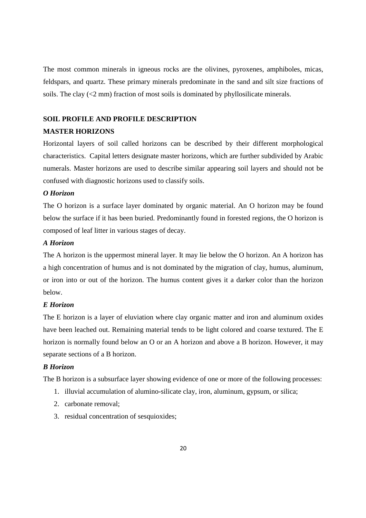The most common minerals in igneous rocks are the olivines, pyroxenes, amphiboles, micas, feldspars, and quartz. These primary minerals predominate in the sand and silt size fractions of soils. The clay  $\langle 2 \text{ mm} \rangle$  fraction of most soils is dominated by phyllosilicate minerals.

# **SOIL PROFILE AND PROFILE DESCRIPTION**

# **MASTER HORIZONS**

Horizontal layers of soil called horizons can be described by their different morphological characteristics. Capital letters designate master horizons, which are further subdivided by Arabic numerals. Master horizons are used to describe similar appearing soil layers and should not be confused with diagnostic horizons used to classify soils.

#### *O Horizon*

The O horizon is a surface layer dominated by organic material. An O horizon may be found below the surface if it has been buried. Predominantly found in forested regions, the O horizon is composed of leaf litter in various stages of decay.

#### *A Horizon*

The A horizon is the uppermost mineral layer. It may lie below the O horizon. An A horizon has a high concentration of humus and is not dominated by the migration of clay, humus, aluminum, or iron into or out of the horizon. The humus content gives it a darker color than the horizon below.

# *E Horizon*

The E horizon is a layer of eluviation where clay organic matter and iron and aluminum oxides have been leached out. Remaining material tends to be light colored and coarse textured. The E horizon is normally found below an O or an A horizon and above a B horizon. However, it may separate sections of a B horizon.

# *B Horizon*

The B horizon is a subsurface layer showing evidence of one or more of the following processes:

- 1. illuvial accumulation of alumino-silicate clay, iron, aluminum, gypsum, or silica;
- 2. carbonate removal;
- 3. residual concentration of sesquioxides;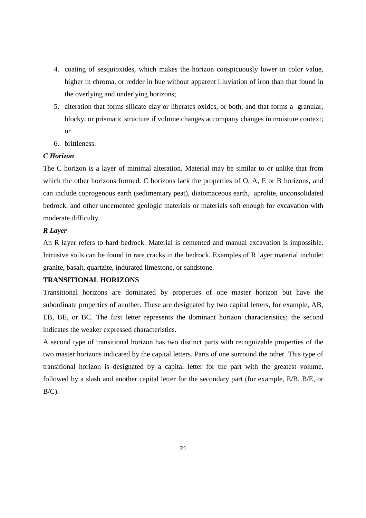- 4. coating of sesquioxides, which makes the horizon conspicuously lower in color value, higher in chroma, or redder in hue without apparent illuviation of iron than that found in the overlying and underlying horizons;
- 5. alteration that forms silicate clay or liberates oxides, or both, and that forms a granular, blocky, or prismatic structure if volume changes accompany changes in moisture context; or
- 6. brittleness.

#### *C Horizon*

The C horizon is a layer of minimal alteration. Material may be similar to or unlike that from which the other horizons formed. C horizons lack the properties of O, A, E or B horizons, and can include coprogenous earth (sedimentary peat), diatomaceous earth, aprolite, unconsolidated bedrock, and other uncemented geologic materials or materials soft enough for excavation with moderate difficulty.

# *R Layer*

An R layer refers to hard bedrock. Material is cemented and manual excavation is impossible. Intrusive soils can be found in rare cracks in the bedrock. Examples of R layer material include: granite, basalt, quartzite, indurated limestone, or sandstone.

# **TRANSITIONAL HORIZONS**

Transitional horizons are dominated by properties of one master horizon but have the subordinate properties of another. These are designated by two capital letters, for example, AB, EB, BE, or BC. The first letter represents the dominant horizon characteristics; the second indicates the weaker expressed characteristics.

A second type of transitional horizon has two distinct parts with recognizable properties of the two master horizons indicated by the capital letters. Parts of one surround the other. This type of transitional horizon is designated by a capital letter for the part with the greatest volume, followed by a slash and another capital letter for the secondary part (for example, E/B, B/E, or  $B/C$ ).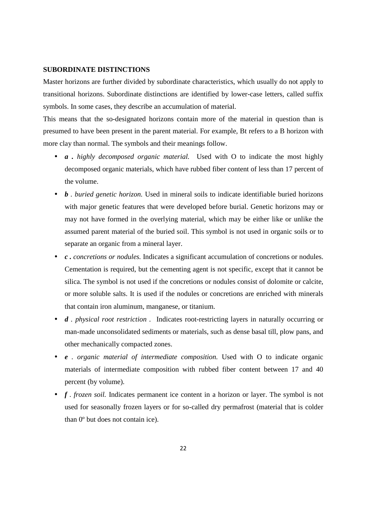#### **SUBORDINATE DISTINCTIONS**

Master horizons are further divided by subordinate characteristics, which usually do not apply to transitional horizons. Subordinate distinctions are identified by lower-case letters, called suffix symbols. In some cases, they describe an accumulation of material.

This means that the so-designated horizons contain more of the material in question than is presumed to have been present in the parent material. For example, Bt refers to a B horizon with more clay than normal. The symbols and their meanings follow.

- *a . highly decomposed organic material.* Used with O to indicate the most highly decomposed organic materials, which have rubbed fiber content of less than 17 percent of the volume.
- *b . buried genetic horizon*. Used in mineral soils to indicate identifiable buried horizons with major genetic features that were developed before burial. Genetic horizons may or may not have formed in the overlying material, which may be either like or unlike the assumed parent material of the buried soil. This symbol is not used in organic soils or to separate an organic from a mineral layer.
- *c . concretions or nodules.* Indicates a significant accumulation of concretions or nodules. Cementation is required, but the cementing agent is not specific, except that it cannot be silica. The symbol is not used if the concretions or nodules consist of dolomite or calcite, or more soluble salts. It is used if the nodules or concretions are enriched with minerals that contain iron aluminum, manganese, or titanium.
- *d . physical root restriction* . Indicates root-restricting layers in naturally occurring or man-made unconsolidated sediments or materials, such as dense basal till, plow pans, and other mechanically compacted zones.
- *e . organic material of intermediate composition.* Used with O to indicate organic materials of intermediate composition with rubbed fiber content between 17 and 40 percent (by volume).
- *f* . *frozen soil.* Indicates permanent ice content in a horizon or layer. The symbol is not used for seasonally frozen layers or for so-called dry permafrost (material that is colder than 0º but does not contain ice).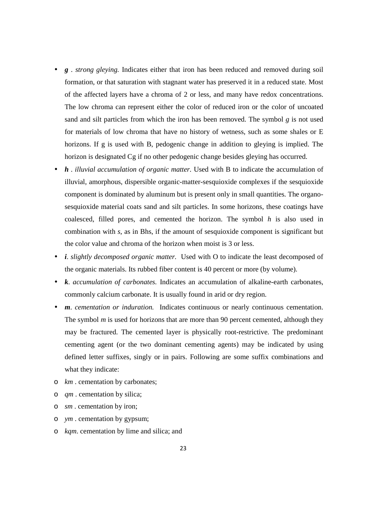- *g* . *strong gleying.* Indicates either that iron has been reduced and removed during soil formation, or that saturation with stagnant water has preserved it in a reduced state. Most of the affected layers have a chroma of 2 or less, and many have redox concentrations. The low chroma can represent either the color of reduced iron or the color of uncoated sand and silt particles from which the iron has been removed. The symbol *g* is not used for materials of low chroma that have no history of wetness, such as some shales or E horizons. If g is used with B, pedogenic change in addition to gleying is implied. The horizon is designated Cg if no other pedogenic change besides gleying has occurred.
- *h* . *illuvial accumulation of organic matter.* Used with B to indicate the accumulation of illuvial, amorphous, dispersible organic-matter-sesquioxide complexes if the sesquioxide component is dominated by aluminum but is present only in small quantities. The organosesquioxide material coats sand and silt particles. In some horizons, these coatings have coalesced, filled pores, and cemented the horizon. The symbol *h* is also used in combination with *s*, as in Bhs, if the amount of sesquioxide component is significant but the color value and chroma of the horizon when moist is 3 or less.
- *i*. *slightly decomposed organic matter.* Used with O to indicate the least decomposed of the organic materials. Its rubbed fiber content is 40 percent or more (by volume).
- *k*. *accumulation of carbonates.* Indicates an accumulation of alkaline-earth carbonates, commonly calcium carbonate. It is usually found in arid or dry region.
- *m*. *cementation or induration.* Indicates continuous or nearly continuous cementation. The symbol *m* is used for horizons that are more than 90 percent cemented, although they may be fractured. The cemented layer is physically root-restrictive. The predominant cementing agent (or the two dominant cementing agents) may be indicated by using defined letter suffixes, singly or in pairs. Following are some suffix combinations and what they indicate:
- o *km* . cementation by carbonates;
- o *qm* . cementation by silica;
- o *sm* . cementation by iron;
- o *ym* . cementation by gypsum;
- o *kqm*. cementation by lime and silica; and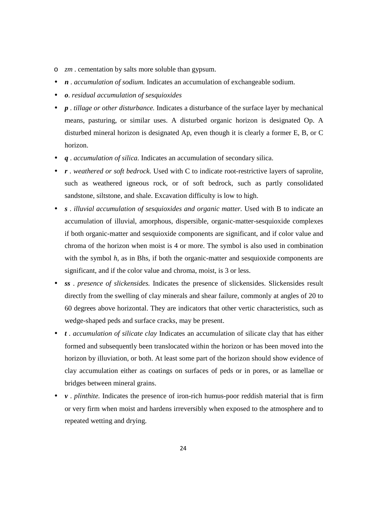- o *zm* . cementation by salts more soluble than gypsum.
- *n* . *accumulation of sodium.* Indicates an accumulation of exchangeable sodium.
- *o*. *residual accumulation of sesquioxides*
- *p* . *tillage or other disturbance.* Indicates a disturbance of the surface layer by mechanical means, pasturing, or similar uses. A disturbed organic horizon is designated Op. A disturbed mineral horizon is designated Ap, even though it is clearly a former E, B, or C horizon.
- *q* . *accumulation of silica.* Indicates an accumulation of secondary silica.
- *r* . *weathered or soft bedrock.* Used with C to indicate root-restrictive layers of saprolite, such as weathered igneous rock, or of soft bedrock, such as partly consolidated sandstone, siltstone, and shale. Excavation difficulty is low to high.
- *s* . *illuvial accumulation of sesquioxides and organic matter.* Used with B to indicate an accumulation of illuvial, amorphous, dispersible, organic-matter-sesquioxide complexes if both organic-matter and sesquioxide components are significant, and if color value and chroma of the horizon when moist is 4 or more. The symbol is also used in combination with the symbol *h*, as in Bhs, if both the organic-matter and sesquioxide components are significant, and if the color value and chroma, moist, is 3 or less.
- *ss* . *presence of slickensides.* Indicates the presence of slickensides. Slickensides result directly from the swelling of clay minerals and shear failure, commonly at angles of 20 to 60 degrees above horizontal. They are indicators that other vertic characteristics, such as wedge-shaped peds and surface cracks, may be present.
- *t* . *accumulation of silicate clay* Indicates an accumulation of silicate clay that has either formed and subsequently been translocated within the horizon or has been moved into the horizon by illuviation, or both. At least some part of the horizon should show evidence of clay accumulation either as coatings on surfaces of peds or in pores, or as lamellae or bridges between mineral grains.
- *v* . *plinthite.* Indicates the presence of iron-rich humus-poor reddish material that is firm or very firm when moist and hardens irreversibly when exposed to the atmosphere and to repeated wetting and drying.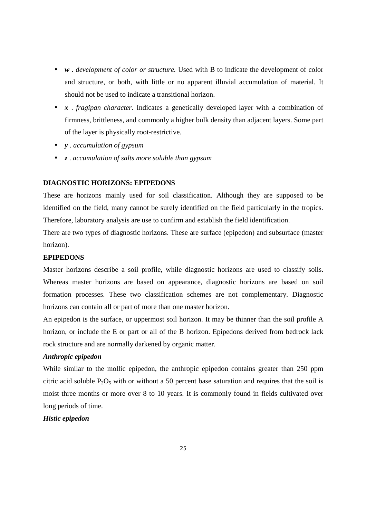- *w* . *development of color or structure*. Used with B to indicate the development of color and structure, or both, with little or no apparent illuvial accumulation of material. It should not be used to indicate a transitional horizon.
- *x* . *fragipan character.* Indicates a genetically developed layer with a combination of firmness, brittleness, and commonly a higher bulk density than adjacent layers. Some part of the layer is physically root-restrictive.
- *y* . *accumulation of gypsum*
- *z* . *accumulation of salts more soluble than gypsum*

## **DIAGNOSTIC HORIZONS: EPIPEDONS**

These are horizons mainly used for soil classification. Although they are supposed to be identified on the field, many cannot be surely identified on the field particularly in the tropics. Therefore, laboratory analysis are use to confirm and establish the field identification.

There are two types of diagnostic horizons. These are surface (epipedon) and subsurface (master horizon).

#### **EPIPEDONS**

Master horizons describe a soil profile, while diagnostic horizons are used to classify soils. Whereas master horizons are based on appearance, diagnostic horizons are based on soil formation processes. These two classification schemes are not complementary. Diagnostic horizons can contain all or part of more than one master horizon.

An epipedon is the surface, or uppermost soil horizon. It may be thinner than the soil profile A horizon, or include the E or part or all of the B horizon. Epipedons derived from bedrock lack rock structure and are normally darkened by organic matter.

# *Anthropic epipedon*

While similar to the mollic epipedon, the anthropic epipedon contains greater than 250 ppm citric acid soluble  $P_2O_5$  with or without a 50 percent base saturation and requires that the soil is moist three months or more over 8 to 10 years. It is commonly found in fields cultivated over long periods of time.

# *Histic epipedon*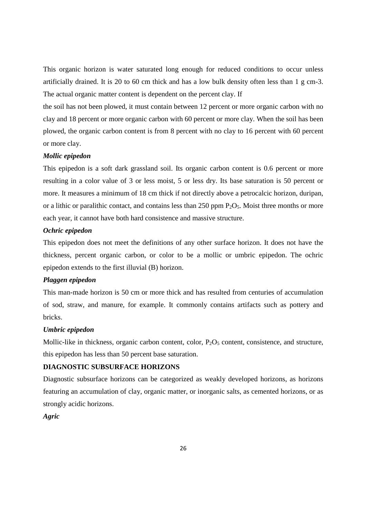This organic horizon is water saturated long enough for reduced conditions to occur unless artificially drained. It is 20 to 60 cm thick and has a low bulk density often less than 1 g cm-3. The actual organic matter content is dependent on the percent clay. If

the soil has not been plowed, it must contain between 12 percent or more organic carbon with no clay and 18 percent or more organic carbon with 60 percent or more clay. When the soil has been plowed, the organic carbon content is from 8 percent with no clay to 16 percent with 60 percent or more clay.

#### *Mollic epipedon*

This epipedon is a soft dark grassland soil. Its organic carbon content is 0.6 percent or more resulting in a color value of 3 or less moist, 5 or less dry. Its base saturation is 50 percent or more. It measures a minimum of 18 cm thick if not directly above a petrocalcic horizon, duripan, or a lithic or paralithic contact, and contains less than 250 ppm  $P_2O_5$ . Moist three months or more each year, it cannot have both hard consistence and massive structure.

#### *Ochric epipedon*

This epipedon does not meet the definitions of any other surface horizon. It does not have the thickness, percent organic carbon, or color to be a mollic or umbric epipedon. The ochric epipedon extends to the first illuvial (B) horizon.

# *Plaggen epipedon*

This man-made horizon is 50 cm or more thick and has resulted from centuries of accumulation of sod, straw, and manure, for example. It commonly contains artifacts such as pottery and bricks.

#### *Umbric epipedon*

Mollic-like in thickness, organic carbon content, color,  $P_2O_5$  content, consistence, and structure, this epipedon has less than 50 percent base saturation.

# **DIAGNOSTIC SUBSURFACE HORIZONS**

Diagnostic subsurface horizons can be categorized as weakly developed horizons, as horizons featuring an accumulation of clay, organic matter, or inorganic salts, as cemented horizons, or as strongly acidic horizons.

*Agric*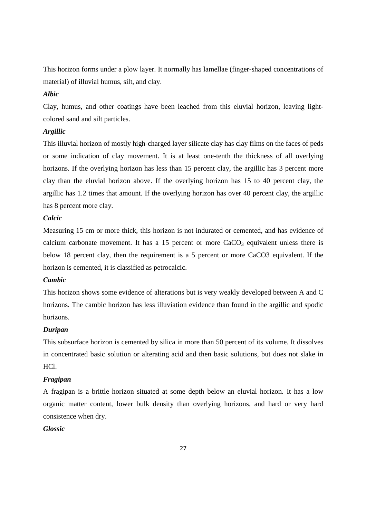This horizon forms under a plow layer. It normally has lamellae (finger-shaped concentrations of material) of illuvial humus, silt, and clay.

# *Albic*

Clay, humus, and other coatings have been leached from this eluvial horizon, leaving lightcolored sand and silt particles.

# *Argillic*

This illuvial horizon of mostly high-charged layer silicate clay has clay films on the faces of peds or some indication of clay movement. It is at least one-tenth the thickness of all overlying horizons. If the overlying horizon has less than 15 percent clay, the argillic has 3 percent more clay than the eluvial horizon above. If the overlying horizon has 15 to 40 percent clay, the argillic has 1.2 times that amount. If the overlying horizon has over 40 percent clay, the argillic has 8 percent more clay.

# *Calcic*

Measuring 15 cm or more thick, this horizon is not indurated or cemented, and has evidence of calcium carbonate movement. It has a 15 percent or more  $CaCO<sub>3</sub>$  equivalent unless there is below 18 percent clay, then the requirement is a 5 percent or more CaCO3 equivalent. If the horizon is cemented, it is classified as petrocalcic.

## *Cambic*

This horizon shows some evidence of alterations but is very weakly developed between A and C horizons. The cambic horizon has less illuviation evidence than found in the argillic and spodic horizons.

# *Duripan*

This subsurface horizon is cemented by silica in more than 50 percent of its volume. It dissolves in concentrated basic solution or alterating acid and then basic solutions, but does not slake in HCl.

# *Fragipan*

A fragipan is a brittle horizon situated at some depth below an eluvial horizon. It has a low organic matter content, lower bulk density than overlying horizons, and hard or very hard consistence when dry.

# *Glossic*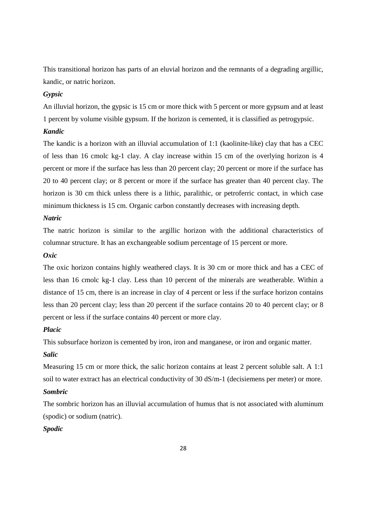This transitional horizon has parts of an eluvial horizon and the remnants of a degrading argillic, kandic, or natric horizon.

# *Gypsic*

An illuvial horizon, the gypsic is 15 cm or more thick with 5 percent or more gypsum and at least 1 percent by volume visible gypsum. If the horizon is cemented, it is classified as petrogypsic.

# *Kandic*

The kandic is a horizon with an illuvial accumulation of 1:1 (kaolinite-like) clay that has a CEC of less than 16 cmolc kg-1 clay. A clay increase within 15 cm of the overlying horizon is 4 percent or more if the surface has less than 20 percent clay; 20 percent or more if the surface has 20 to 40 percent clay; or 8 percent or more if the surface has greater than 40 percent clay. The horizon is 30 cm thick unless there is a lithic, paralithic, or petroferric contact, in which case minimum thickness is 15 cm. Organic carbon constantly decreases with increasing depth.

# *Natric*

The natric horizon is similar to the argillic horizon with the additional characteristics of columnar structure. It has an exchangeable sodium percentage of 15 percent or more.

# *Oxic*

The oxic horizon contains highly weathered clays. It is 30 cm or more thick and has a CEC of less than 16 cmolc kg-1 clay. Less than 10 percent of the minerals are weatherable. Within a distance of 15 cm, there is an increase in clay of 4 percent or less if the surface horizon contains less than 20 percent clay; less than 20 percent if the surface contains 20 to 40 percent clay; or 8 percent or less if the surface contains 40 percent or more clay.

## *Placic*

This subsurface horizon is cemented by iron, iron and manganese, or iron and organic matter.

# *Salic*

Measuring 15 cm or more thick, the salic horizon contains at least 2 percent soluble salt. A 1:1 soil to water extract has an electrical conductivity of 30 dS/m-1 (decisiemens per meter) or more.

# *Sombric*

The sombric horizon has an illuvial accumulation of humus that is not associated with aluminum (spodic) or sodium (natric).

# *Spodic*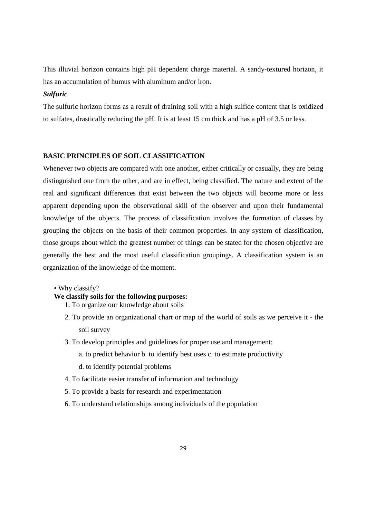This illuvial horizon contains high pH dependent charge material. A sandy-textured horizon, it has an accumulation of humus with aluminum and/or iron.

# *Sulfuric*

The sulfuric horizon forms as a result of draining soil with a high sulfide content that is oxidized to sulfates, drastically reducing the pH. It is at least 15 cm thick and has a pH of 3.5 or less.

#### **BASIC PRINCIPLES OF SOIL CLASSIFICATION**

Whenever two objects are compared with one another, either critically or casually, they are being distinguished one from the other, and are in effect, being classified. The nature and extent of the real and significant differences that exist between the two objects will become more or less apparent depending upon the observational skill of the observer and upon their fundamental knowledge of the objects. The process of classification involves the formation of classes by grouping the objects on the basis of their common properties. In any system of classification, those groups about which the greatest number of things can be stated for the chosen objective are generally the best and the most useful classification groupings. A classification system is an organization of the knowledge of the moment.

*•* Why classify?

# **We classify soils for the following purposes:**

- 1. To organize our knowledge about soils
- 2. To provide an organizational chart or map of the world of soils as we perceive it the soil survey
- 3. To develop principles and guidelines for proper use and management:
	- a. to predict behavior b. to identify best uses c. to estimate productivity
	- d. to identify potential problems
- 4. To facilitate easier transfer of information and technology
- 5. To provide a basis for research and experimentation
- 6. To understand relationships among individuals of the population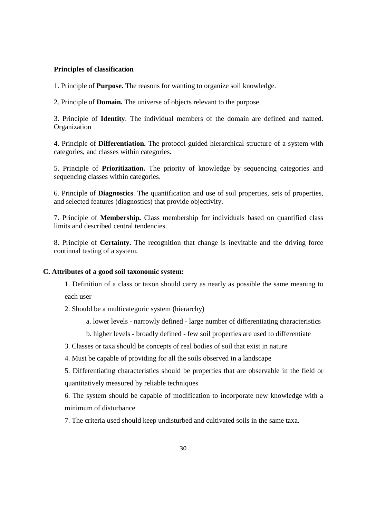#### **Principles of classification**

1. Principle of **Purpose.** The reasons for wanting to organize soil knowledge.

2. Principle of **Domain.** The universe of objects relevant to the purpose.

3. Principle of **Identity**. The individual members of the domain are defined and named. **Organization** 

4. Principle of **Differentiation.** The protocol-guided hierarchical structure of a system with categories, and classes within categories.

5. Principle of **Prioritization.** The priority of knowledge by sequencing categories and sequencing classes within categories.

6. Principle of **Diagnostics**. The quantification and use of soil properties, sets of properties, and selected features (diagnostics) that provide objectivity.

7. Principle of **Membership.** Class membership for individuals based on quantified class limits and described central tendencies.

8. Principle of **Certainty.** The recognition that change is inevitable and the driving force continual testing of a system.

#### **C. Attributes of a good soil taxonomic system:**

1. Definition of a class or taxon should carry as nearly as possible the same meaning to each user

- 2. Should be a multicategoric system (hierarchy)
	- a. lower levels narrowly defined large number of differentiating characteristics

b. higher levels - broadly defined - few soil properties are used to differentiate

3. Classes or taxa should be concepts of real bodies of soil that exist in nature

4. Must be capable of providing for all the soils observed in a landscape

5. Differentiating characteristics should be properties that are observable in the field or quantitatively measured by reliable techniques

6. The system should be capable of modification to incorporate new knowledge with a minimum of disturbance

7. The criteria used should keep undisturbed and cultivated soils in the same taxa.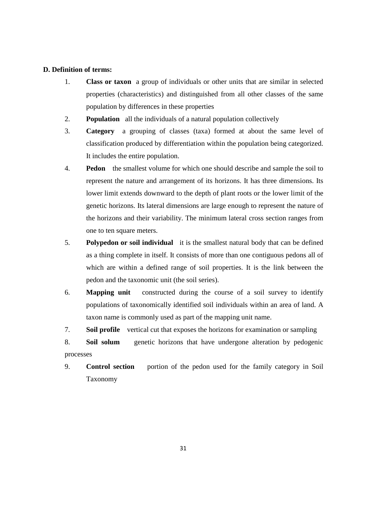#### **D. Definition of terms:**

- 1. **Class or taxon** a group of individuals or other units that are similar in selected properties (characteristics) and distinguished from all other classes of the same population by differences in these properties
- 2. **Population** all the individuals of a natural population collectively
- 3. **Category** a grouping of classes (taxa) formed at about the same level of classification produced by differentiation within the population being categorized. It includes the entire population.
- 4. **Pedon** the smallest volume for which one should describe and sample the soil to represent the nature and arrangement of its horizons. It has three dimensions. Its lower limit extends downward to the depth of plant roots or the lower limit of the genetic horizons. Its lateral dimensions are large enough to represent the nature of the horizons and their variability. The minimum lateral cross section ranges from one to ten square meters.
- 5. **Polypedon or soil individual** it is the smallest natural body that can be defined as a thing complete in itself. It consists of more than one contiguous pedons all of which are within a defined range of soil properties. It is the link between the pedon and the taxonomic unit (the soil series).
- 6. **Mapping unit** constructed during the course of a soil survey to identify populations of taxonomically identified soil individuals within an area of land. A taxon name is commonly used as part of the mapping unit name.
- 7. **Soil profile** vertical cut that exposes the horizons for examination or sampling

8. **Soil solum** genetic horizons that have undergone alteration by pedogenic processes

9. **Control section** portion of the pedon used for the family category in Soil Taxonomy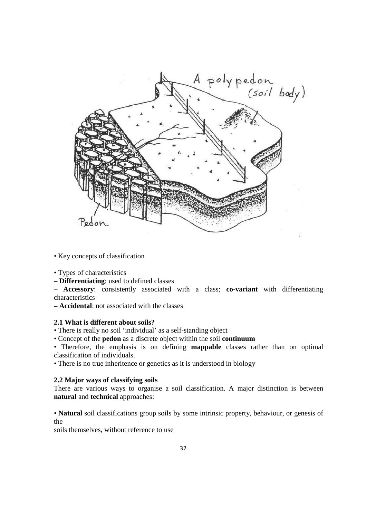

- Key concepts of classification
- Types of characteristics
- **Differentiating**: used to defined classes

**– Accessory**: consistently associated with a class; **co-variant** with differentiating characteristics

**– Accidental**: not associated with the classes

# **2.1 What is different about soils?**

*•* There is really no soil 'individual' as a self-standing object

*•* Concept of the **pedon** as a discrete object within the soil **continuum** 

*•* Therefore, the emphasis is on defining **mappable** classes rather than on optimal classification of individuals.

• There is no true inheritence or genetics as it is understood in biology

#### **2.2 Major ways of classifying soils**

There are various ways to organise a soil classification. A major distinction is between **natural** and **technical** approaches:

*•* **Natural** soil classifications group soils by some intrinsic property, behaviour, or genesis of the

soils themselves, without reference to use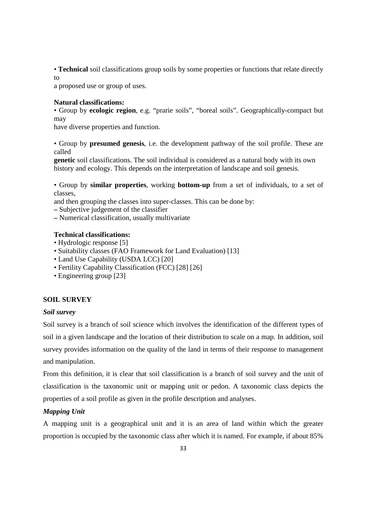*•* **Technical** soil classifications group soils by some properties or functions that relate directly to

a proposed use or group of uses.

# **Natural classifications:**

*•* Group by **ecologic region**, e.g. "prarie soils", "boreal soils". Geographically-compact but may

have diverse properties and function.

*•* Group by **presumed genesis**, i.e. the development pathway of the soil profile. These are called

**genetic** soil classifications. The soil individual is considered as a natural body with its own history and ecology. This depends on the interpretation of landscape and soil genesis.

*•* Group by **similar properties**, working **bottom-up** from a set of individuals, to a set of classes,

and then grouping the classes into super-classes. This can be done by:

**–** Subjective judgement of the classifier

**–** Numerical classification, usually multivariate

# **Technical classifications:**

- Hydrologic response [5]
- Suitability classes (FAO Framework for Land Evaluation) [13]
- Land Use Capability (USDA LCC) [20]
- Fertility Capability Classification (FCC) [28] [26]
- Engineering group [23]

# **SOIL SURVEY**

#### *Soil survey*

Soil survey is a branch of soil science which involves the identification of the different types of soil in a given landscape and the location of their distribution to scale on a map. In addition, soil survey provides information on the quality of the land in terms of their response to management and manipulation.

From this definition, it is clear that soil classification is a branch of soil survey and the unit of classification is the taxonomic unit or mapping unit or pedon. A taxonomic class depicts the properties of a soil profile as given in the profile description and analyses.

## *Mapping Unit*

A mapping unit is a geographical unit and it is an area of land within which the greater proportion is occupied by the taxonomic class after which it is named. For example, if about 85%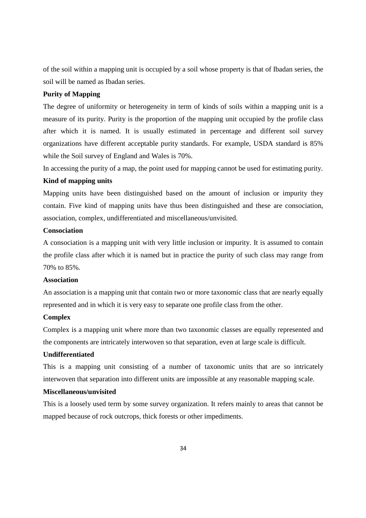of the soil within a mapping unit is occupied by a soil whose property is that of Ibadan series, the soil will be named as Ibadan series.

# **Purity of Mapping**

The degree of uniformity or heterogeneity in term of kinds of soils within a mapping unit is a measure of its purity. Purity is the proportion of the mapping unit occupied by the profile class after which it is named. It is usually estimated in percentage and different soil survey organizations have different acceptable purity standards. For example, USDA standard is 85% while the Soil survey of England and Wales is 70%.

In accessing the purity of a map, the point used for mapping cannot be used for estimating purity.

# **Kind of mapping units**

Mapping units have been distinguished based on the amount of inclusion or impurity they contain. Five kind of mapping units have thus been distinguished and these are consociation, association, complex, undifferentiated and miscellaneous/unvisited.

# **Consociation**

A consociation is a mapping unit with very little inclusion or impurity. It is assumed to contain the profile class after which it is named but in practice the purity of such class may range from 70% to 85%.

# **Association**

An association is a mapping unit that contain two or more taxonomic class that are nearly equally represented and in which it is very easy to separate one profile class from the other.

## **Complex**

Complex is a mapping unit where more than two taxonomic classes are equally represented and the components are intricately interwoven so that separation, even at large scale is difficult.

# **Undifferentiated**

This is a mapping unit consisting of a number of taxonomic units that are so intricately interwoven that separation into different units are impossible at any reasonable mapping scale.

# **Miscellaneous/unvisited**

This is a loosely used term by some survey organization. It refers mainly to areas that cannot be mapped because of rock outcrops, thick forests or other impediments.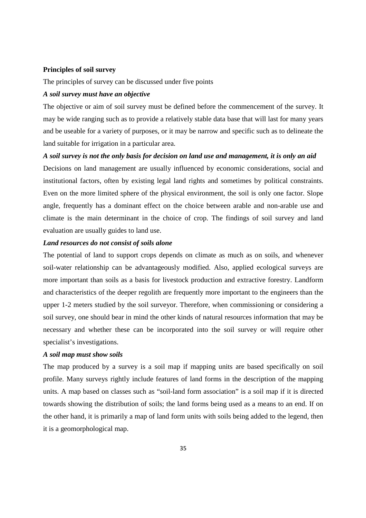#### **Principles of soil survey**

The principles of survey can be discussed under five points

# *A soil survey must have an objective*

The objective or aim of soil survey must be defined before the commencement of the survey. It may be wide ranging such as to provide a relatively stable data base that will last for many years and be useable for a variety of purposes, or it may be narrow and specific such as to delineate the land suitable for irrigation in a particular area.

#### *A soil survey is not the only basis for decision on land use and management, it is only an aid*

Decisions on land management are usually influenced by economic considerations, social and institutional factors, often by existing legal land rights and sometimes by political constraints. Even on the more limited sphere of the physical environment, the soil is only one factor. Slope angle, frequently has a dominant effect on the choice between arable and non-arable use and climate is the main determinant in the choice of crop. The findings of soil survey and land evaluation are usually guides to land use.

#### *Land resources do not consist of soils alone*

The potential of land to support crops depends on climate as much as on soils, and whenever soil-water relationship can be advantageously modified. Also, applied ecological surveys are more important than soils as a basis for livestock production and extractive forestry. Landform and characteristics of the deeper regolith are frequently more important to the engineers than the upper 1-2 meters studied by the soil surveyor. Therefore, when commissioning or considering a soil survey, one should bear in mind the other kinds of natural resources information that may be necessary and whether these can be incorporated into the soil survey or will require other specialist's investigations.

#### *A soil map must show soils*

The map produced by a survey is a soil map if mapping units are based specifically on soil profile. Many surveys rightly include features of land forms in the description of the mapping units. A map based on classes such as "soil-land form association" is a soil map if it is directed towards showing the distribution of soils; the land forms being used as a means to an end. If on the other hand, it is primarily a map of land form units with soils being added to the legend, then it is a geomorphological map.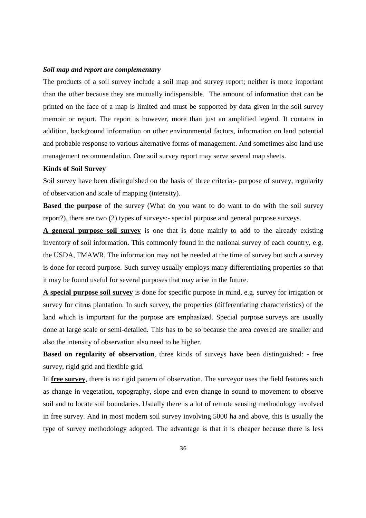#### *Soil map and report are complementary*

The products of a soil survey include a soil map and survey report; neither is more important than the other because they are mutually indispensible. The amount of information that can be printed on the face of a map is limited and must be supported by data given in the soil survey memoir or report. The report is however, more than just an amplified legend. It contains in addition, background information on other environmental factors, information on land potential and probable response to various alternative forms of management. And sometimes also land use management recommendation. One soil survey report may serve several map sheets.

#### **Kinds of Soil Survey**

Soil survey have been distinguished on the basis of three criteria:- purpose of survey, regularity of observation and scale of mapping (intensity).

**Based the purpose** of the survey (What do you want to do want to do with the soil survey report?), there are two (2) types of surveys:- special purpose and general purpose surveys.

**A general purpose soil survey** is one that is done mainly to add to the already existing inventory of soil information. This commonly found in the national survey of each country, e.g. the USDA, FMAWR. The information may not be needed at the time of survey but such a survey is done for record purpose. Such survey usually employs many differentiating properties so that it may be found useful for several purposes that may arise in the future.

**A special purpose soil survey** is done for specific purpose in mind, e.g. survey for irrigation or survey for citrus plantation. In such survey, the properties (differentiating characteristics) of the land which is important for the purpose are emphasized. Special purpose surveys are usually done at large scale or semi-detailed. This has to be so because the area covered are smaller and also the intensity of observation also need to be higher.

**Based on regularity of observation**, three kinds of surveys have been distinguished: - free survey, rigid grid and flexible grid.

In **free survey**, there is no rigid pattern of observation. The surveyor uses the field features such as change in vegetation, topography, slope and even change in sound to movement to observe soil and to locate soil boundaries. Usually there is a lot of remote sensing methodology involved in free survey. And in most modern soil survey involving 5000 ha and above, this is usually the type of survey methodology adopted. The advantage is that it is cheaper because there is less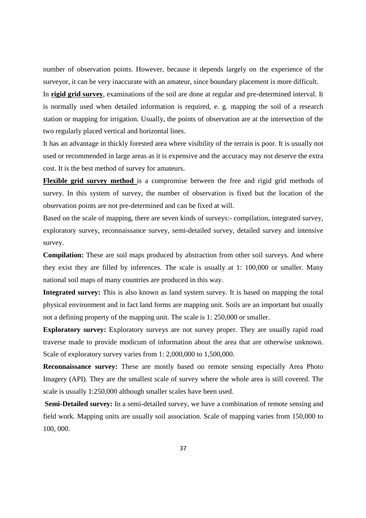number of observation points. However, because it depends largely on the experience of the surveyor, it can be very inaccurate with an amateur, since boundary placement is more difficult.

In **rigid grid survey**, examinations of the soil are done at regular and pre-determined interval. It is normally used when detailed information is required, e. g. mapping the soil of a research station or mapping for irrigation. Usually, the points of observation are at the intersection of the two regularly placed vertical and horizontal lines.

It has an advantage in thickly forested area where visibility of the terrain is poor. It is usually not used or recommended in large areas as it is expensive and the accuracy may not deserve the extra cost. It is the best method of survey for amateurs.

**Flexible grid survey method** is a compromise between the free and rigid grid methods of survey. In this system of survey, the number of observation is fixed but the location of the observation points are not pre-determined and can be fixed at will.

Based on the scale of mapping, there are seven kinds of surveys:- compilation, integrated survey, exploratory survey, reconnaissance survey, semi-detailed survey, detailed survey and intensive survey.

**Compilation:** These are soil maps produced by abstraction from other soil surveys. And where they exist they are filled by inferences. The scale is usually at 1: 100,000 or smaller. Many national soil maps of many countries are produced in this way.

**Integrated survey:** This is also known as land system survey. It is based on mapping the total physical environment and in fact land forms are mapping unit. Soils are an important but usually not a defining property of the mapping unit. The scale is 1: 250,000 or smaller.

**Exploratory survey:** Exploratory surveys are not survey proper. They are usually rapid road traverse made to provide modicum of information about the area that are otherwise unknown. Scale of exploratory survey varies from 1: 2,000,000 to 1,500,000.

**Reconnaissance survey:** These are mostly based on remote sensing especially Area Photo Imagery (API). They are the smallest scale of survey where the whole area is still covered. The scale is usually 1:250,000 although smaller scales have been used.

**Semi-Detailed survey:** In a semi-detailed survey, we have a combination of remote sensing and field work. Mapping units are usually soil association. Scale of mapping varies from 150,000 to 100, 000.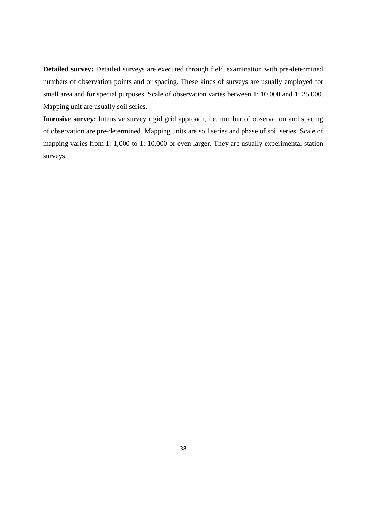**Detailed survey:** Detailed surveys are executed through field examination with pre-determined numbers of observation points and or spacing. These kinds of surveys are usually employed for small area and for special purposes. Scale of observation varies between 1: 10,000 and 1: 25,000. Mapping unit are usually soil series.

**Intensive survey:** Intensive survey rigid grid approach, i.e. number of observation and spacing of observation are pre-determined. Mapping units are soil series and phase of soil series. Scale of mapping varies from 1: 1,000 to 1: 10,000 or even larger. They are usually experimental station surveys.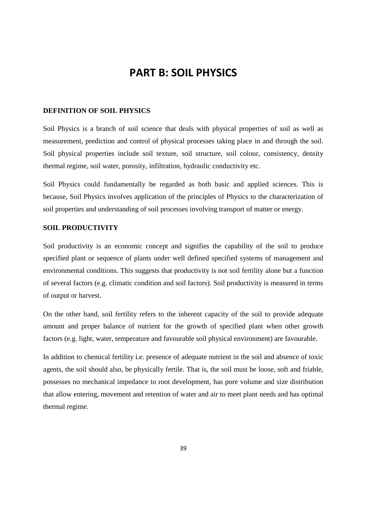# **PART B: SOIL PHYSICS**

# **DEFINITION OF SOIL PHYSICS**

Soil Physics is a branch of soil science that deals with physical properties of soil as well as measurement, prediction and control of physical processes taking place in and through the soil. Soil physical properties include soil texture, soil structure, soil colour, consistency, density thermal regime, soil water, porosity, infiltration, hydraulic conductivity etc.

Soil Physics could fundamentally be regarded as both basic and applied sciences. This is because, Soil Physics involves application of the principles of Physics to the characterization of soil properties and understanding of soil processes involving transport of matter or energy.

# **SOIL PRODUCTIVITY**

Soil productivity is an economic concept and signifies the capability of the soil to produce specified plant or sequence of plants under well defined specified systems of management and environmental conditions. This suggests that productivity is not soil fertility alone but a function of several factors (e.g. climatic condition and soil factors). Soil productivity is measured in terms of output or harvest.

On the other hand, soil fertility refers to the inherent capacity of the soil to provide adequate amount and proper balance of nutrient for the growth of specified plant when other growth factors (e.g. light, water, temperature and favourable soil physical environment) are favourable.

In addition to chemical fertility i.e. presence of adequate nutrient in the soil and absence of toxic agents, the soil should also, be physically fertile. That is, the soil must be loose, soft and friable, possesses no mechanical impedance to root development, has pore volume and size distribution that allow entering, movement and retention of water and air to meet plant needs and has optimal thermal regime.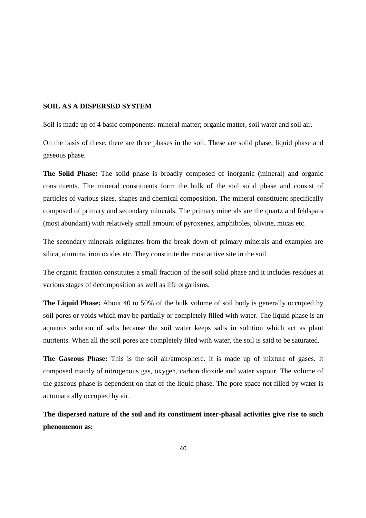# **SOIL AS A DISPERSED SYSTEM**

Soil is made up of 4 basic components: mineral matter; organic matter, soil water and soil air.

On the basis of these, there are three phases in the soil. These are solid phase, liquid phase and gaseous phase.

**The Solid Phase:** The solid phase is broadly composed of inorganic (mineral) and organic constituents. The mineral constituents form the bulk of the soil solid phase and consist of particles of various sizes, shapes and chemical composition. The mineral constituent specifically composed of primary and secondary minerals. The primary minerals are the quartz and feldspars (most abundant) with relatively small amount of pyroxenes, amphiboles, olivine, micas etc.

The secondary minerals originates from the break down of primary minerals and examples are silica, alumina, iron oxides etc. They constitute the most active site in the soil.

The organic fraction constitutes a small fraction of the soil solid phase and it includes residues at various stages of decomposition as well as life organisms.

**The Liquid Phase:** About 40 to 50% of the bulk volume of soil body is generally occupied by soil pores or voids which may be partially or completely filled with water. The liquid phase is an aqueous solution of salts because the soil water keeps salts in solution which act as plant nutrients. When all the soil pores are completely filed with water, the soil is said to be saturated.

**The Gaseous Phase:** This is the soil air/atmosphere. It is made up of mixture of gases. It composed mainly of nitrogenous gas, oxygen, carbon dioxide and water vapour. The volume of the gaseous phase is dependent on that of the liquid phase. The pore space not filled by water is automatically occupied by air.

**The dispersed nature of the soil and its constituent inter-phasal activities give rise to such phenomenon as:**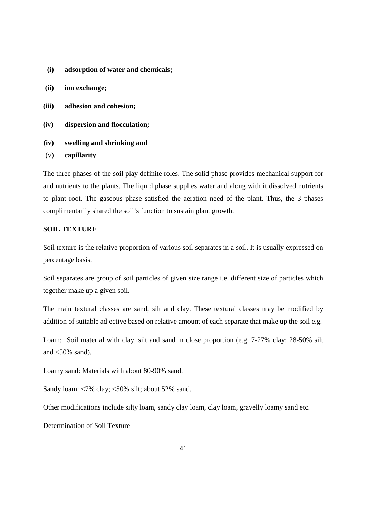- **(i) adsorption of water and chemicals;**
- **(ii) ion exchange;**
- **(iii) adhesion and cohesion;**
- **(iv) dispersion and flocculation;**
- **(iv) swelling and shrinking and**
- (v) **capillarity**.

The three phases of the soil play definite roles. The solid phase provides mechanical support for and nutrients to the plants. The liquid phase supplies water and along with it dissolved nutrients to plant root. The gaseous phase satisfied the aeration need of the plant. Thus, the 3 phases complimentarily shared the soil's function to sustain plant growth.

# **SOIL TEXTURE**

Soil texture is the relative proportion of various soil separates in a soil. It is usually expressed on percentage basis.

Soil separates are group of soil particles of given size range i.e. different size of particles which together make up a given soil.

The main textural classes are sand, silt and clay. These textural classes may be modified by addition of suitable adjective based on relative amount of each separate that make up the soil e.g.

Loam: Soil material with clay, silt and sand in close proportion (e.g. 7-27% clay; 28-50% silt and  $\langle 50\%$  sand).

Loamy sand: Materials with about 80-90% sand.

Sandy loam: <7% clay; <50% silt; about 52% sand.

Other modifications include silty loam, sandy clay loam, clay loam, gravelly loamy sand etc.

Determination of Soil Texture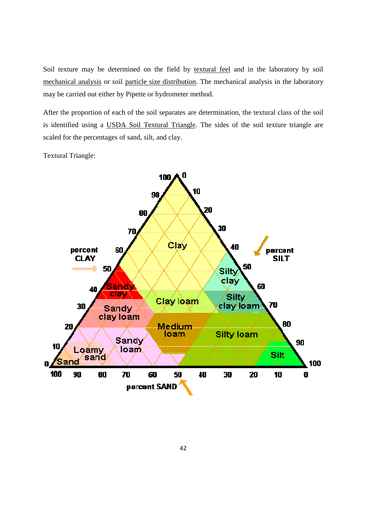Soil texture may be determined on the field by textural feel and in the laboratory by soil mechanical analysis or soil particle size distribution. The mechanical analysis in the laboratory may be carried out either by Pipette or hydrometer method. mechanical analysis or soil particle size distribution. The mechanical analysis in the laboratory<br>may be carried out either by Pipette or hydrometer method.<br>After the proportion of each of the soil separates are determinat

is identified using a USDA Soil Textural Triangle. The sides of the soil texture triangle are scaled for the percentages of sand, silt, and clay.

Textural Triangle:

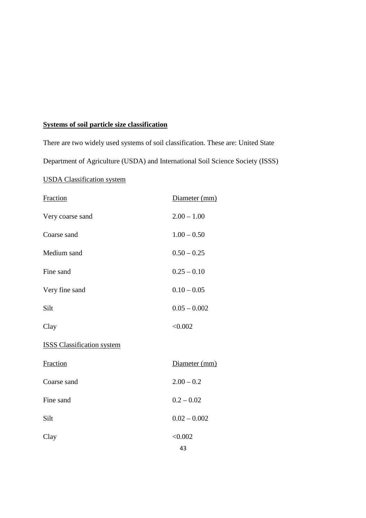# **Systems of soil particle size classification**

There are two widely used systems of soil classification. These are: United State

Department of Agriculture (USDA) and International Soil Science Society (ISSS)

# USDA Classification system

| Fraction                          | Diameter (mm)  |
|-----------------------------------|----------------|
| Very coarse sand                  | $2.00 - 1.00$  |
| Coarse sand                       | $1.00 - 0.50$  |
| Medium sand                       | $0.50 - 0.25$  |
| Fine sand                         | $0.25 - 0.10$  |
| Very fine sand                    | $0.10 - 0.05$  |
| Silt                              | $0.05 - 0.002$ |
| Clay                              | < 0.002        |
| <b>ISSS Classification system</b> |                |
| Fraction                          | Diameter (mm)  |
| Coarse sand                       | $2.00 - 0.2$   |
| Fine sand                         | $0.2 - 0.02$   |
| Silt                              | $0.02 - 0.002$ |
| Clay                              | < 0.002        |
|                                   | 43             |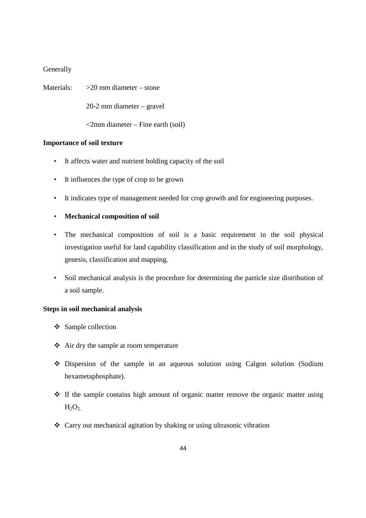# **Generally**

Materials:  $>20$  mm diameter – stone

20-2 mm diameter – gravel

<2mm diameter – Fine earth (soil)

# **Importance of soil texture**

- It affects water and nutrient holding capacity of the soil
- It influences the type of crop to be grown
- It indicates type of management needed for crop growth and for engineering purposes.

# • **Mechanical composition of soil**

- The mechanical composition of soil is a basic requirement in the soil physical investigation useful for land capability classification and in the study of soil morphology, genesis, classification and mapping.
- Soil mechanical analysis is the procedure for determining the particle size distribution of a soil sample.

# **Steps in soil mechanical analysis**

- $\div$  Sample collection
- Air dry the sample at room temperature
- Dispersion of the sample in an aqueous solution using Calgon solution (Sodium hexametaphosphate).
- If the sample contains high amount of organic matter remove the organic matter using  $H_2O_2$
- Carry out mechanical agitation by shaking or using ultrasonic vibration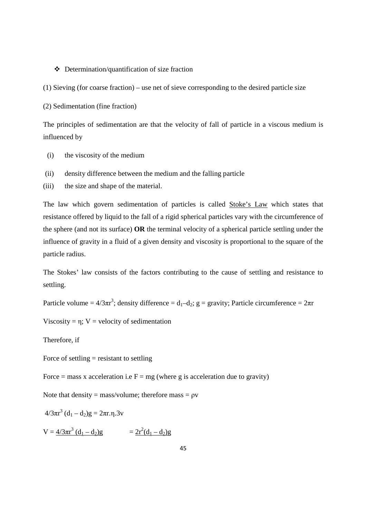#### Determination/quantification of size fraction

(1) Sieving (for coarse fraction) – use net of sieve corresponding to the desired particle size

(2) Sedimentation (fine fraction)

The principles of sedimentation are that the velocity of fall of particle in a viscous medium is influenced by

- (i) the viscosity of the medium
- (ii) density difference between the medium and the falling particle
- (iii) the size and shape of the material.

The law which govern sedimentation of particles is called Stoke's Law which states that resistance offered by liquid to the fall of a rigid spherical particles vary with the circumference of the sphere (and not its surface) **OR** the terminal velocity of a spherical particle settling under the influence of gravity in a fluid of a given density and viscosity is proportional to the square of the particle radius.

The Stokes' law consists of the factors contributing to the cause of settling and resistance to settling.

Particle volume =  $4/3\pi r^3$ ; density difference =  $d_1-d_2$ ; g = gravity; Particle circumference =  $2\pi r$ 

Viscosity =  $\eta$ ; V = velocity of sedimentation

Therefore, if

Force of settling  $=$  resistant to settling

Force = mass x acceleration i.e  $F = mg$  (where g is acceleration due to gravity)

Note that density = mass/volume; therefore mass =  $\rho v$ 

 $4/3\pi r^3$   $(d_1 - d_2)g = 2\pi r.\eta.3v$ 

 $V = \frac{4/3\pi r^3 (d_1 - d_2)g}{g}$  =  $\frac{2r^2(d_1 - d_2)g}{g}$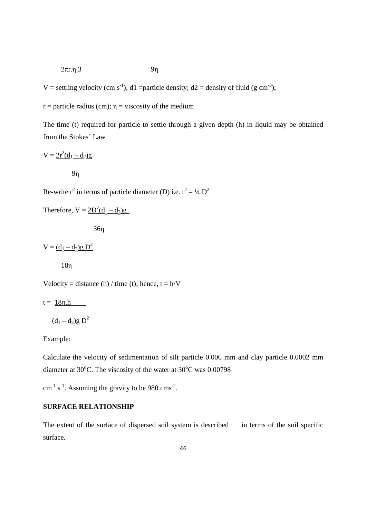$$
2\pi r.\eta.3 \qquad \qquad 9\eta
$$

V = settling velocity (cm s<sup>-1</sup>); d1 =particle density; d2 = density of fluid (g cm<sup>-3</sup>);

 $r =$  particle radius (cm);  $\eta =$  viscosity of the medium

The time (t) required for particle to settle through a given depth (h) in liquid may be obtained from the Stokes' Law

$$
V = \underline{2r^2(d_1 - d_2)g}
$$

9η

Re-write  $r^2$  in terms of particle diameter (D) i.e.  $r^2 = \frac{1}{4} D^2$ 

Therefore,  $V = 2D^2(d_1 - d_2)g$ 

36η

 $V = (d_1 - d_2)g D^2$ 

18η

Velocity = distance (h) / time (t); hence,  $t = h/V$ 

 $t = 18n.h$ 

 $(d_1 - d_2)g D^2$ 

Example:

Calculate the velocity of sedimentation of silt particle 0.006 mm and clay particle 0.0002 mm diameter at 30°C. The viscosity of the water at  $30^{\circ}$ C was 0.00798

 $\text{cm}^{-1}$  s<sup>-1</sup>. Assuming the gravity to be 980  $\text{cm}^{-2}$ .

# **SURFACE RELATIONSHIP**

The extent of the surface of dispersed soil system is described in terms of the soil specific surface.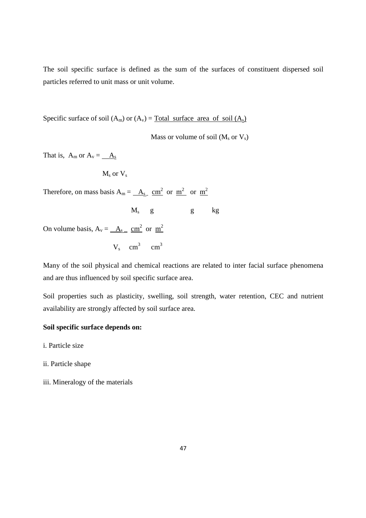The soil specific surface is defined as the sum of the surfaces of constituent dispersed soil particles referred to unit mass or unit volume.

Specific surface of soil  $(A_m)$  or  $(A_v)$  = Total surface area of soil  $(A_s)$ 

Mass or volume of soil  $(M_s$  or  $V_s)$ 

That is,  $A_m$  or  $A_v = \_A_s$ 

 $M_s$  or  $V_s$ 

Therefore, on mass basis  $A_m = \underline{A_s} \underline{cm}^2$  or  $\underline{m}^2$  or  $\underline{m}^2$ 

 $M_{\rm s}$  $M_s$  g  $g$  kg

On volume basis,  $A_v = \underline{A_s} \underline{cm^2}$  or  $\underline{m^2}$ 

 $V_s$  cm<sup>3</sup> cm<sup>3</sup>

Many of the soil physical and chemical reactions are related to inter facial surface phenomena and are thus influenced by soil specific surface area.

Soil properties such as plasticity, swelling, soil strength, water retention, CEC and nutrient availability are strongly affected by soil surface area.

# **Soil specific surface depends on:**

i. Particle size

- ii. Particle shape
- iii. Mineralogy of the materials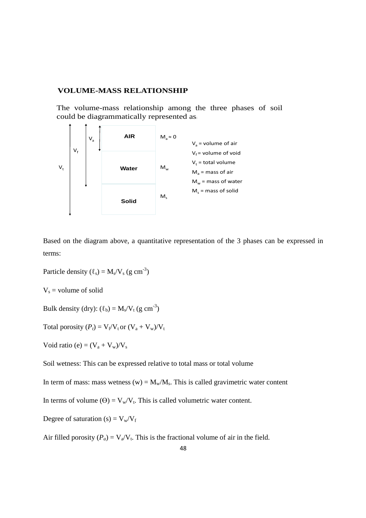#### **VOLUME-MASS RELATIONSHIP**

The volume-mass relationship among the three phases of soil could be diagrammatically represented as:



Based on the diagram above, a quantitative representation of the 3 phases can be expressed in terms:

Particle density  $(\ell_s) = M_s/V_s$  (g cm<sup>-3</sup>)

 $V_s$  = volume of solid

Bulk density (dry):  $(\ell_b) = M_s/V_t$  (g cm<sup>-3</sup>)

Total porosity  $(P_t) = V_f/V_t$  or  $(V_a + V_w)/V_t$ 

Void ratio (e) =  $(V_a + V_w)/V_s$ 

Soil wetness: This can be expressed relative to total mass or total volume

In term of mass: mass wetness (w) =  $M_w/M_s$ . This is called gravimetric water content

In terms of volume  $(\Theta) = V_w/V_t$ . This is called volumetric water content.

Degree of saturation (s) =  $V_w/V_f$ 

Air filled porosity  $(P_a) = V_a/V_t$ . This is the fractional volume of air in the field.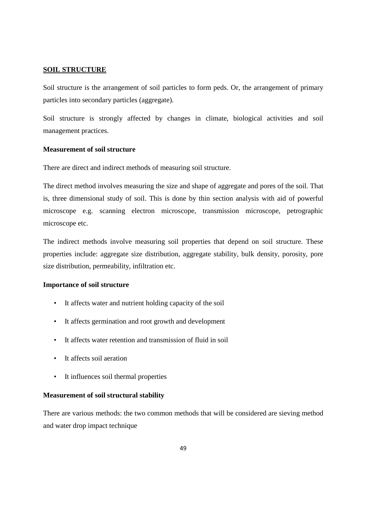# **SOIL STRUCTURE**

Soil structure is the arrangement of soil particles to form peds. Or, the arrangement of primary particles into secondary particles (aggregate).

Soil structure is strongly affected by changes in climate, biological activities and soil management practices.

# **Measurement of soil structure**

There are direct and indirect methods of measuring soil structure.

The direct method involves measuring the size and shape of aggregate and pores of the soil. That is, three dimensional study of soil. This is done by thin section analysis with aid of powerful microscope e.g. scanning electron microscope, transmission microscope, petrographic microscope etc.

The indirect methods involve measuring soil properties that depend on soil structure. These properties include: aggregate size distribution, aggregate stability, bulk density, porosity, pore size distribution, permeability, infiltration etc.

#### **Importance of soil structure**

- It affects water and nutrient holding capacity of the soil
- It affects germination and root growth and development
- It affects water retention and transmission of fluid in soil
- It affects soil aeration
- It influences soil thermal properties

# **Measurement of soil structural stability**

There are various methods: the two common methods that will be considered are sieving method and water drop impact technique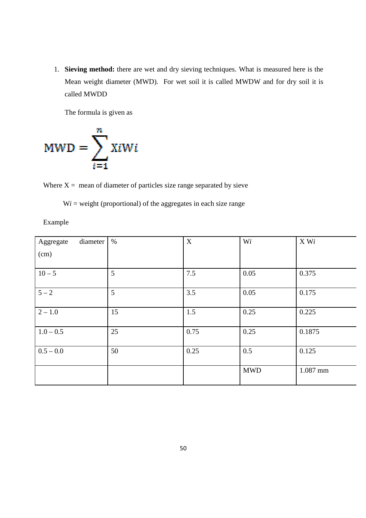1. **Sieving method:** there are wet and dry sieving techniques. What is measured here is the Mean weight diameter (MWD). For wet soil it is called MWDW and for dry soil it is called MWDD be earn weight diameter (MWD). For wet soil it is called MWDW and<br>lled MWDD<br>ne formula is given as<br> $\sum_{i=1}^{n} X_i^T W_i$ <br>= mean of diameter of particles size range separated by sieve is called MWDW and for dry soil it<br>
rated by sieve<br>
ch size range<br>  $\boxed{\text{Wi}}$   $\boxed{\text{X Wi}}$ 

The formula is given as

$$
MWD = \sum_{i=1}^{n} XiWi
$$

Where  $X =$  mean of diameter of particles size range separated by sieve

 $Wi = weight (proportional)$  of the aggregates in each size range

Example

| diameter<br>Aggregate | $\%$ | $\mathbf X$ | Wi         | X Wi     |
|-----------------------|------|-------------|------------|----------|
| (cm)                  |      |             |            |          |
|                       |      |             |            |          |
| $10 - 5$              | 5    | 7.5         | 0.05       | 0.375    |
| $5 - 2$               | 5    | 3.5         | 0.05       | 0.175    |
| $\sqrt{2} - 1.0$      | 15   | 1.5         | 0.25       | 0.225    |
| $1.0 - 0.5$           | 25   | 0.75        | 0.25       | 0.1875   |
| $0.5 - 0.0$           | 50   | 0.25        | 0.5        | 0.125    |
|                       |      |             | <b>MWD</b> | 1.087 mm |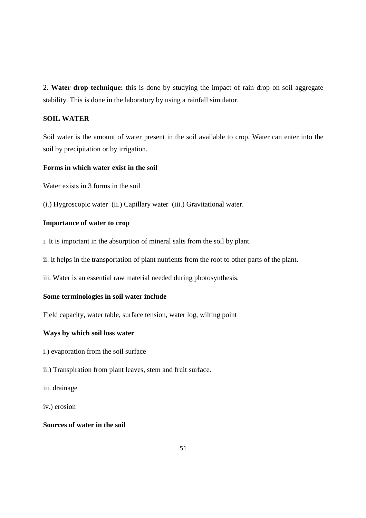2. **Water drop technique:** this is done by studying the impact of rain drop on soil aggregate stability. This is done in the laboratory by using a rainfall simulator.

# **SOIL WATER**

Soil water is the amount of water present in the soil available to crop. Water can enter into the soil by precipitation or by irrigation.

# **Forms in which water exist in the soil**

Water exists in 3 forms in the soil

(i.) Hygroscopic water (ii.) Capillary water (iii.) Gravitational water.

# **Importance of water to crop**

i. It is important in the absorption of mineral salts from the soil by plant.

ii. It helps in the transportation of plant nutrients from the root to other parts of the plant.

iii. Water is an essential raw material needed during photosynthesis.

# **Some terminologies in soil water include**

Field capacity, water table, surface tension, water log, wilting point

# **Ways by which soil loss water**

i.) evaporation from the soil surface

ii.) Transpiration from plant leaves, stem and fruit surface.

iii. drainage

iv.) erosion

# **Sources of water in the soil**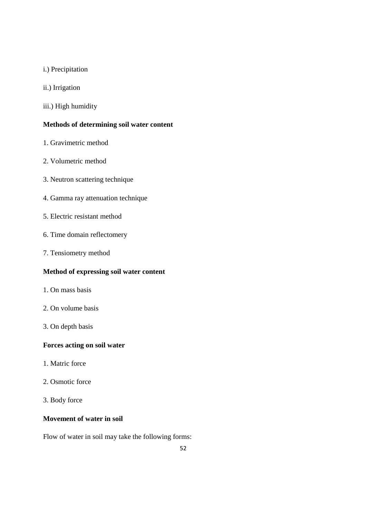- i.) Precipitation
- ii.) Irrigation
- iii.) High humidity

# **Methods of determining soil water content**

- 1. Gravimetric method
- 2. Volumetric method
- 3. Neutron scattering technique
- 4. Gamma ray attenuation technique
- 5. Electric resistant method
- 6. Time domain reflectomery
- 7. Tensiometry method

# **Method of expressing soil water content**

- 1. On mass basis
- 2. On volume basis
- 3. On depth basis

# **Forces acting on soil water**

- 1. Matric force
- 2. Osmotic force
- 3. Body force

# **Movement of water in soil**

Flow of water in soil may take the following forms: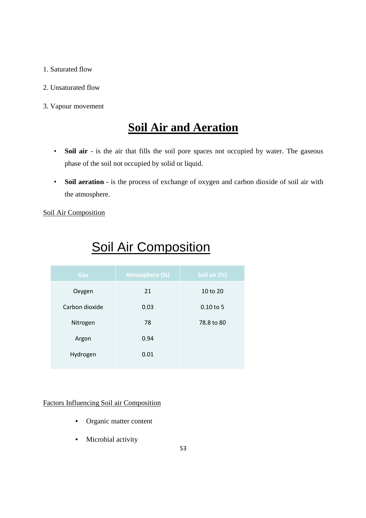# 1. Saturated flow

- 2. Unsaturated flow
- 3. Vapour movement

# **Soil Air and Aeration**

- **Soil air** is the air that fills the soil pore spaces not occupied by water. The gaseous phase of the soil not occupied by solid or liquid.
- **Soil aeration** is the process of exchange of oxygen and carbon dioxide of soil air with the atmosphere.

Soil Air Composition

| Gas            | <b>Atmosphere (%)</b> | Soil air (%) |  |
|----------------|-----------------------|--------------|--|
| Oxygen         | 21                    | 10 to 20     |  |
| Carbon dioxide | 0.03                  | $0.10$ to 5  |  |
| Nitrogen       | 78                    | 78.8 to 80   |  |
| Argon          | 0.94                  |              |  |
| Hydrogen       | 0.01                  |              |  |

# Soil Air Composition

# Factors Influencing Soil air Composition

- Organic matter content
- Microbial activity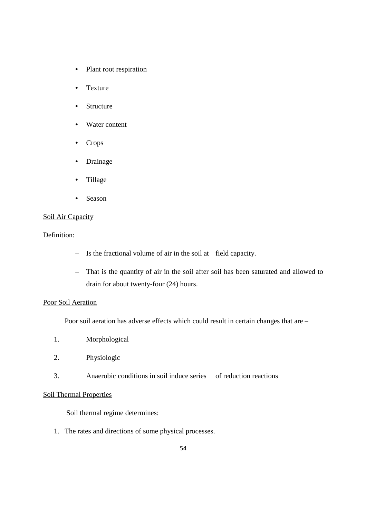- Plant root respiration
- Texture
- Structure
- Water content
- Crops
- Drainage
- Tillage
- Season

# Soil Air Capacity

Definition:

- Is the fractional volume of air in the soil at field capacity.
- That is the quantity of air in the soil after soil has been saturated and allowed to drain for about twenty-four (24) hours.

# Poor Soil Aeration

Poor soil aeration has adverse effects which could result in certain changes that are –

- 1. Morphological
- 2. Physiologic
- 3. Anaerobic conditions in soil induce series of reduction reactions

# Soil Thermal Properties

Soil thermal regime determines:

1. The rates and directions of some physical processes.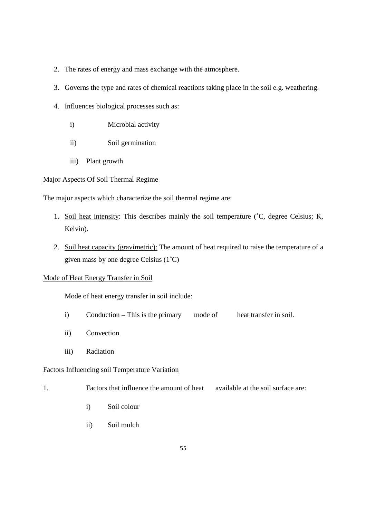- 2. The rates of energy and mass exchange with the atmosphere.
- 3. Governs the type and rates of chemical reactions taking place in the soil e.g. weathering.
- 4. Influences biological processes such as:
	- i) Microbial activity
	- ii) Soil germination
	- iii) Plant growth

# Major Aspects Of Soil Thermal Regime

The major aspects which characterize the soil thermal regime are:

- 1. Soil heat intensity: This describes mainly the soil temperature (˚C, degree Celsius; K, Kelvin).
- 2. Soil heat capacity (gravimetric): The amount of heat required to raise the temperature of a given mass by one degree Celsius (1˚C)

# Mode of Heat Energy Transfer in Soil

Mode of heat energy transfer in soil include:

- i) Conduction This is the primary mode of heat transfer in soil.
- ii) Convection
- iii) Radiation

# Factors Influencing soil Temperature Variation

- 1. Factors that influence the amount of heat available at the soil surface are:
	- i) Soil colour
	- ii) Soil mulch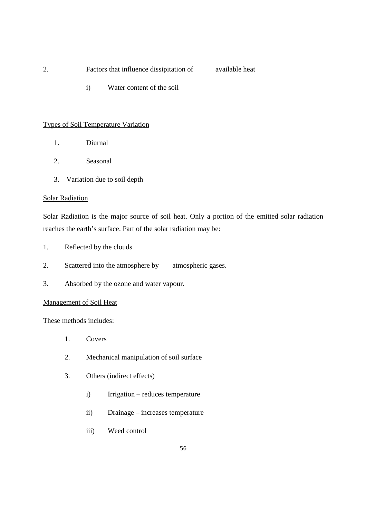- 2. Factors that influence dissipitation of available heat
	- **i**) Water content of the soil

# Types of Soil Temperature Variation

- 1. Diurnal
- 2. Seasonal
- 3. Variation due to soil depth

## Solar Radiation

Solar Radiation is the major source of soil heat. Only a portion of the emitted solar radiation reaches the earth's surface. Part of the solar radiation may be:

- 1. Reflected by the clouds
- 2. Scattered into the atmosphere by atmospheric gases.
- 3. Absorbed by the ozone and water vapour.

# Management of Soil Heat

These methods includes:

- 1. Covers
- 2. Mechanical manipulation of soil surface
- 3. Others (indirect effects)
	- i) Irrigation reduces temperature
	- ii) Drainage increases temperature
	- iii) Weed control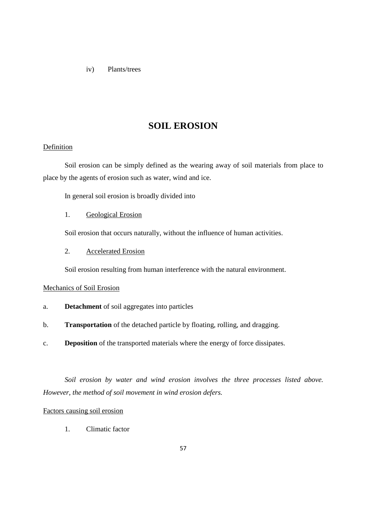iv) Plants/trees

# **SOIL EROSION**

# Definition

 Soil erosion can be simply defined as the wearing away of soil materials from place to place by the agents of erosion such as water, wind and ice.

In general soil erosion is broadly divided into

1. Geological Erosion

Soil erosion that occurs naturally, without the influence of human activities.

2. Accelerated Erosion

Soil erosion resulting from human interference with the natural environment.

# Mechanics of Soil Erosion

- a. **Detachment** of soil aggregates into particles
- b. **Transportation** of the detached particle by floating, rolling, and dragging.
- c. **Deposition** of the transported materials where the energy of force dissipates.

*Soil erosion by water and wind erosion involves the three processes listed above. However, the method of soil movement in wind erosion defers.*

## Factors causing soil erosion

1. Climatic factor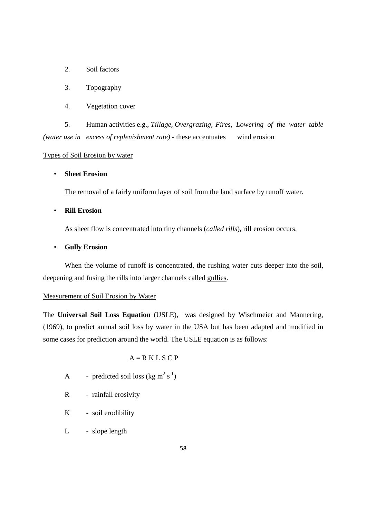- 2. Soil factors
- 3. Topography
- 4. Vegetation cover

 5. Human activities e.g., *Tillage, Overgrazing, Fires, Lowering of the water table (water use in excess of replenishment rate) -* these accentuates wind erosion

# Types of Soil Erosion by water

# • **Sheet Erosion**

The removal of a fairly uniform layer of soil from the land surface by runoff water.

# • **Rill Erosion**

As sheet flow is concentrated into tiny channels (*called rills*), rill erosion occurs.

#### • **Gully Erosion**

When the volume of runoff is concentrated, the rushing water cuts deeper into the soil, deepening and fusing the rills into larger channels called gullies.

# Measurement of Soil Erosion by Water

The **Universal Soil Loss Equation** (USLE), was designed by Wischmeier and Mannering, (1969), to predict annual soil loss by water in the USA but has been adapted and modified in some cases for prediction around the world. The USLE equation is as follows:

# $A = R K L S C P$

- A predicted soil loss (kg m<sup>2</sup> s<sup>-1</sup>)
	- R rainfall erosivity
	- K soil erodibility
	- L slope length